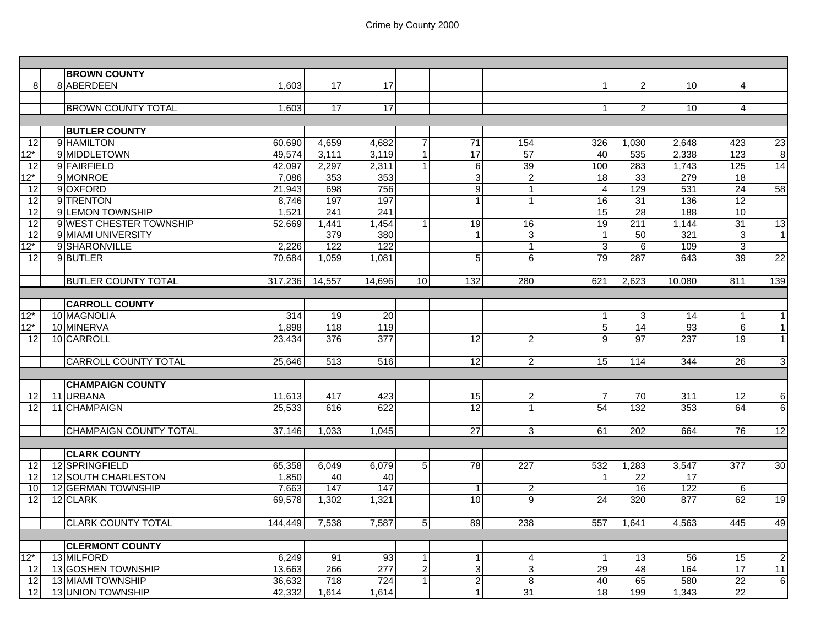|                   | <b>BROWN COUNTY</b>           |         |                  |                  |                 |                  |                |                 |                 |                  |                  |                 |
|-------------------|-------------------------------|---------|------------------|------------------|-----------------|------------------|----------------|-----------------|-----------------|------------------|------------------|-----------------|
| 8                 | 8 ABERDEEN                    | 1,603   | 17               | 17               |                 |                  |                | 1 <sup>1</sup>  | $\overline{2}$  | 10               | $\vert$          |                 |
|                   |                               |         |                  |                  |                 |                  |                |                 |                 |                  |                  |                 |
|                   | <b>BROWN COUNTY TOTAL</b>     | 1,603   | 17               | 17               |                 |                  |                | $\mathbf{1}$    | $\overline{2}$  | 10               | $\overline{4}$   |                 |
|                   |                               |         |                  |                  |                 |                  |                |                 |                 |                  |                  |                 |
|                   | <b>BUTLER COUNTY</b>          |         |                  |                  |                 |                  |                |                 |                 |                  |                  |                 |
| 12 <sup>1</sup>   | 9 HAMILTON                    | 60,690  | 4,659            | 4,682            | $\overline{7}$  | $\overline{71}$  | 154            | 326             | 1,030           | 2,648            | 423              | $\overline{23}$ |
| 12*               | 9 MIDDLETOWN                  | 49,574  | 3,111            | 3,119            | $\mathbf{1}$    | 17               | 57             | 40              | 535             | 2,338            | 123              | $\infty$        |
| 12                | 9 FAIRFIELD                   | 42,097  | 2,297            | 2,311            | $\mathbf{1}$    | 6                | 39             | 100             | 283             | 1,743            | 125              | 14              |
| $12^*$            | 9 MONROE                      | 7,086   | $\frac{1}{353}$  | 353              |                 | 3                | $\overline{c}$ | 18              | 33              | 279              | 18               |                 |
| 12                | 9 OXFORD                      | 21,943  | 698              | 756              |                 | $\boldsymbol{9}$ | $\mathbf{1}$   | $\overline{4}$  | 129             | 531              | $\overline{24}$  | 58              |
| 12                | 9 TRENTON                     | 8,746   | 197              | 197              |                 | $\mathbf{1}$     | $\mathbf{1}$   | 16              | $\overline{31}$ | 136              | 12               |                 |
| 12                | 9 LEMON TOWNSHIP              | 1,521   | $\overline{241}$ | $\overline{241}$ |                 |                  |                | $\overline{15}$ | $\overline{28}$ | 188              | 10               |                 |
| 12                | 9 WEST CHESTER TOWNSHIP       | 52,669  | 1,441            | 1,454            | $\vert$ 1       | 19               | 16             | 19              | 211             | 1,144            | 31               | 13              |
| 12                | 9 MIAMI UNIVERSITY            |         | 379              | 380              |                 | $\overline{1}$   | $\mathbf{3}$   | $\mathbf{1}$    | 50              | 321              | 3 <sup>1</sup>   | 1               |
| $\overline{12^*}$ | 9 SHARONVILLE                 | 2,226   | 122              | 122              |                 |                  | $\mathbf{1}$   | $\overline{3}$  | $\overline{6}$  | 109              | $\overline{3}$   |                 |
| 12                | 9 BUTLER                      | 70.684  | 1,059            | 1.081            |                 | 5                | $\overline{6}$ | 79              | 287             | 643              | 39               | $\overline{22}$ |
|                   |                               |         |                  |                  |                 |                  |                |                 |                 |                  |                  |                 |
|                   | <b>BUTLER COUNTY TOTAL</b>    | 317,236 | 14,557           | 14,696           | 10 <sup>1</sup> | 132              | 280            | 621             | 2,623           | 10,080           | 811              | 139             |
|                   |                               |         |                  |                  |                 |                  |                |                 |                 |                  |                  |                 |
|                   | <b>CARROLL COUNTY</b>         |         |                  |                  |                 |                  |                |                 |                 |                  |                  |                 |
| $12*$             | 10 MAGNOLIA                   | 314     | 19               | 20               |                 |                  |                | $\mathbf{1}$    | $\sqrt{3}$      | 14               | 1                | $\mathbf{1}$    |
| $12*$             | 10 MINERVA                    | 1,898   | 118              | 119              |                 |                  |                | $\overline{5}$  | $\overline{14}$ | 93               | $6 \overline{6}$ | $\overline{1}$  |
| 12 <sup>1</sup>   | 10 CARROLL                    | 23,434  | 376              | $\overline{377}$ |                 | 12               | $\overline{c}$ | 9               | $\overline{97}$ | $\overline{237}$ | 19               | $\overline{1}$  |
|                   |                               |         |                  |                  |                 |                  |                |                 |                 |                  |                  |                 |
|                   | <b>CARROLL COUNTY TOTAL</b>   | 25,646  | 513              | 516              |                 | $\overline{12}$  | $\overline{2}$ | 15              | 114             | 344              | 26               | G               |
|                   |                               |         |                  |                  |                 |                  |                |                 |                 |                  |                  |                 |
|                   | <b>CHAMPAIGN COUNTY</b>       |         |                  |                  |                 |                  |                |                 |                 |                  |                  |                 |
| 12 <sub>l</sub>   | 11 URBANA                     | 11,613  | 417              | 423              |                 | 15               | $\overline{c}$ | $\overline{7}$  | 70              | 311              | $\overline{12}$  | $\,6$           |
| 12 <sub>1</sub>   | 11 CHAMPAIGN                  | 25,533  | 616              | 622              |                 | 12               | $\mathbf{1}$   | 54              | 132             | 353              | 64               | 6               |
|                   |                               |         |                  |                  |                 |                  |                |                 |                 |                  |                  |                 |
|                   | <b>CHAMPAIGN COUNTY TOTAL</b> | 37.146  | 1,033            | 1.045            |                 | 27               | 3              | 61              | 202             | 664              | 76               | 12              |
|                   |                               |         |                  |                  |                 |                  |                |                 |                 |                  |                  |                 |
|                   | <b>CLARK COUNTY</b>           |         |                  |                  |                 |                  |                |                 |                 |                  |                  |                 |
| 12 <sub>1</sub>   | 12 SPRINGFIELD                | 65,358  | 6,049            | 6,079            | 5 <sup>5</sup>  | 78               | 227            | 532             | 1,283           | 3.547            | 377              | 30              |
| 12 <sup>1</sup>   | 12 SOUTH CHARLESTON           | 1,850   | 40               | 40               |                 |                  |                | $\mathbf{1}$    | 22              | 17               |                  |                 |
| 10 <sup>1</sup>   | 12 GERMAN TOWNSHIP            | 7,663   | 147              | 147              |                 | $\mathbf{1}$     | $\overline{2}$ |                 | 16              | 122              | 6                |                 |
| 12 <sup>1</sup>   | 12 CLARK                      | 69,578  | 1,302            | 1,321            |                 | 10               | 9              | 24              | 320             | 877              | 62               | 19              |
|                   |                               |         |                  |                  |                 |                  |                |                 |                 |                  |                  |                 |
|                   | <b>CLARK COUNTY TOTAL</b>     | 144,449 | 7,538            | 7,587            | 5 <sup>1</sup>  | 89               | 238            | 557             | 1,641           | 4,563            | 445              | 49              |
|                   |                               |         |                  |                  |                 |                  |                |                 |                 |                  |                  |                 |
|                   | <b>CLERMONT COUNTY</b>        |         |                  |                  |                 |                  |                |                 |                 |                  |                  |                 |
| 12*               | 13 MILFORD                    | 6,249   | 91               | 93               | $\mathbf{1}$    | $\overline{1}$   | $\overline{4}$ | $\mathbf{1}$    | 13              | 56               | 15               | $\overline{2}$  |
| <u>121</u>        | 13 GOSHEN TOWNSHIP            | 13,663  | 266              | $\overline{277}$ | $\overline{2}$  | ω                | $\overline{3}$ | $\overline{29}$ | $\overline{48}$ | 164              | 17               | 11              |
| 12 <sub>l</sub>   | 13 MIAMI TOWNSHIP             | 36,632  | 718              | 724              | $\mathbf{1}$    | $\overline{2}$   | 8              | 40              | 65              | 580              | $\overline{22}$  | $\,6\,$         |
| 12                | 13 UNION TOWNSHIP             | 42,332  | 1,614            | 1,614            |                 | $\mathbf{1}$     | 31             | 18              | 199             | 1,343            | 22               |                 |
|                   |                               |         |                  |                  |                 |                  |                |                 |                 |                  |                  |                 |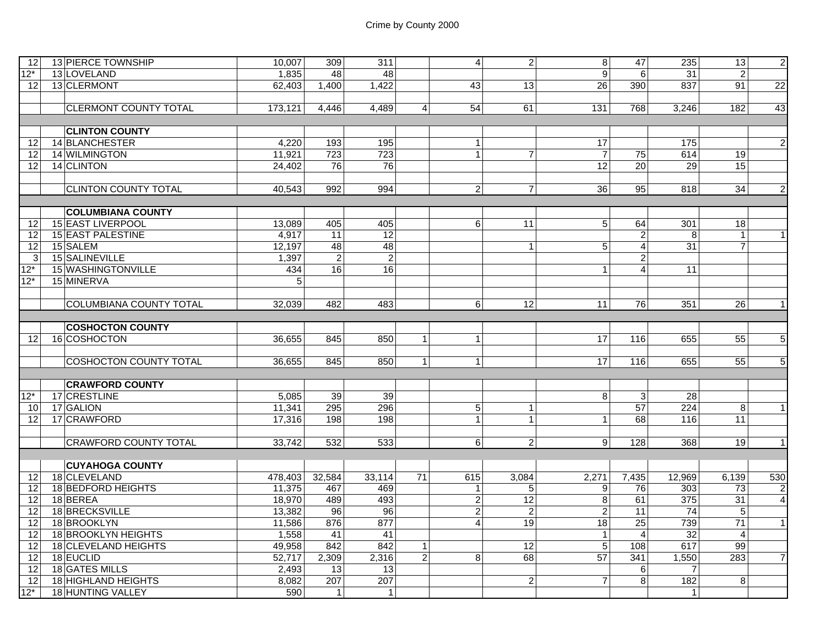| 12I             | 13 PIERCE TOWNSHIP             | 10,007          | 309              | 311             |                | $\overline{4}$ | 2 <sub>1</sub>  | 8                | 47              | 235              | 13              | $\overline{2}$  |
|-----------------|--------------------------------|-----------------|------------------|-----------------|----------------|----------------|-----------------|------------------|-----------------|------------------|-----------------|-----------------|
| $12*$           | 13 LOVELAND                    | 1,835           | $\overline{48}$  | $\overline{48}$ |                |                |                 | $\overline{9}$   | 6               | $\overline{31}$  | $\overline{2}$  |                 |
| 12 <sup>1</sup> | 13 CLERMONT                    | 62,403          | 1,400            | 1,422           |                | 43             | 13              | 26               | 390             | 837              | 91              | $\overline{22}$ |
|                 |                                |                 |                  |                 |                |                |                 |                  |                 |                  |                 |                 |
|                 | <b>CLERMONT COUNTY TOTAL</b>   | 173,121         | 4.446            | 4,489           | $\overline{4}$ | 54             | 61              | 131              | 768             | 3,246            | 182             | 43              |
|                 |                                |                 |                  |                 |                |                |                 |                  |                 |                  |                 |                 |
|                 | <b>CLINTON COUNTY</b>          |                 |                  |                 |                |                |                 |                  |                 |                  |                 |                 |
| 12 <sup>1</sup> | 14 BLANCHESTER                 | 4,220           | 193              | 195             |                | $\mathbf{1}$   |                 | $\overline{17}$  |                 | $\frac{175}{2}$  |                 | $\overline{2}$  |
| 12 <sup>1</sup> | 14 WILMINGTON                  | 11,921          | $\overline{723}$ | 723             |                | $\mathbf{1}$   | $\overline{7}$  | $\overline{7}$   | 75              | 614              | 19              |                 |
| 12              | 14 CLINTON                     | 24,402          | 76               | 76              |                |                |                 | 12               | 20              | 29               | 15              |                 |
|                 |                                |                 |                  |                 |                |                |                 |                  |                 |                  |                 |                 |
|                 | <b>CLINTON COUNTY TOTAL</b>    | 40,543          | 992              | 994             |                | $\overline{2}$ | $\overline{7}$  | $\overline{36}$  | 95              | 818              | $\overline{34}$ | $\overline{2}$  |
|                 |                                |                 |                  |                 |                |                |                 |                  |                 |                  |                 |                 |
|                 | <b>COLUMBIANA COUNTY</b>       |                 |                  |                 |                |                |                 |                  |                 |                  |                 |                 |
| 12              | 15 EAST LIVERPOOL              | 13,089          | 405              | 405             |                | 6 <sup>1</sup> | 11              | 5                | 64              | 301              | 18              |                 |
| 12              | 15 EAST PALESTINE              | 4,917           | 11               | $\overline{12}$ |                |                |                 |                  | 2               | 8                | $\mathbf{1}$    | $\overline{1}$  |
| 12              | 15 SALEM                       | 12,197          | 48               | 48              |                |                | $\mathbf{1}$    | $\overline{5}$   | 4               | 31               | $\overline{7}$  |                 |
| $\overline{3}$  | 15 SALINEVILLE                 | 1,397           | $\overline{2}$   | $\overline{2}$  |                |                |                 |                  | $\overline{c}$  |                  |                 |                 |
| $12*$           | 15 WASHINGTONVILLE             | 434             | 16               | 16              |                |                |                 | $\mathbf{1}$     | 4               | 11               |                 |                 |
| $12*$           | 15 MINERVA                     | $5\overline{)}$ |                  |                 |                |                |                 |                  |                 |                  |                 |                 |
|                 |                                |                 |                  |                 |                |                |                 |                  |                 |                  |                 |                 |
|                 | <b>COLUMBIANA COUNTY TOTAL</b> | 32,039          | 482              | 483             |                | 6              | 12              | 11               | 76              | 351              | 26              | $\overline{1}$  |
|                 |                                |                 |                  |                 |                |                |                 |                  |                 |                  |                 |                 |
|                 | <b>COSHOCTON COUNTY</b>        |                 |                  |                 |                |                |                 |                  |                 |                  |                 |                 |
| 12 <sup>1</sup> | 16 COSHOCTON                   | 36,655          | 845              | 850             | $\mathbf{1}$   | $\mathbf{1}$   |                 | 17               | 116             | 655              | 55              | 5               |
|                 |                                |                 |                  |                 |                |                |                 |                  |                 |                  |                 |                 |
|                 | <b>COSHOCTON COUNTY TOTAL</b>  | 36.655          | 845              | 850             | $\mathbf{1}$   | $\mathbf{1}$   |                 | 17               | 116             | 655              | 55              | $\overline{5}$  |
|                 |                                |                 |                  |                 |                |                |                 |                  |                 |                  |                 |                 |
|                 | <b>CRAWFORD COUNTY</b>         |                 |                  |                 |                |                |                 |                  |                 |                  |                 |                 |
| $12*$           | 17 CRESTLINE                   | 5,085           | 39               | 39              |                |                |                 | 8                | $\mathbf{3}$    | $\overline{28}$  |                 |                 |
| 10 <sup>1</sup> | 17 GALION                      | 11,341          | 295              | 296             |                | $\overline{5}$ | $\mathbf{1}$    |                  | 57              | 224              | 8               | $\mathbf{1}$    |
| 12              | 17 CRAWFORD                    | 17,316          | 198              | 198             |                | $\mathbf{1}$   | $\mathbf{1}$    | $\mathbf{1}$     | 68              | 116              | 11              |                 |
|                 |                                |                 |                  |                 |                |                |                 |                  |                 |                  |                 |                 |
|                 | <b>CRAWFORD COUNTY TOTAL</b>   | 33,742          | 532              | 533             |                | 6              | $\overline{2}$  | 9                | 128             | 368              | 19              | $\overline{1}$  |
|                 |                                |                 |                  |                 |                |                |                 |                  |                 |                  |                 |                 |
|                 | <b>CUYAHOGA COUNTY</b>         |                 |                  |                 |                |                |                 |                  |                 |                  |                 |                 |
| 12              | 18 CLEVELAND                   | 478.403         | 32,584           | 33,114          | 71             | 615            | 3.084           | 2,271            | 7.435           | 12.969           | 6.139           | 530             |
| 12              | 18 BEDFORD HEIGHTS             | 11,375          | 467              | 469             |                | $\mathbf{1}$   | 5 <sub>1</sub>  | 9                | 76              | $\overline{303}$ | 73              | $\overline{2}$  |
| 12              | 18BEREA                        | 18,970          | 489              | 493             |                | $\overline{2}$ | $\overline{12}$ | $\overline{8}$   | 61              | 375              | 31              | $\overline{4}$  |
| 12              | 18 BRECKSVILLE                 | 13,382          | 96               | 96              |                | $\overline{a}$ | $\overline{2}$  | $\boldsymbol{2}$ | 11              | 74               | 5               |                 |
| 12              | 18 BROOKLYN                    | 11,586          | 876              | 877             |                | $\overline{4}$ | 19              | $\overline{18}$  | $\overline{25}$ | 739              | 71              | $\mathbf{1}$    |
| $\overline{12}$ | 18 BROOKLYN HEIGHTS            | 1,558           | 41               | 41              |                |                |                 | $\mathbf{1}$     | $\overline{4}$  | $\overline{32}$  | $\overline{4}$  |                 |
| $\overline{12}$ | 18 CLEVELAND HEIGHTS           | 49,958          | 842              | 842             | $\mathbf{1}$   |                | 12              | $\overline{5}$   | 108             | 617              | 99              |                 |
| 12              | 18 EUCLID                      | 52,717          | 2,309            | 2,316           | $\overline{2}$ | 8              | 68              | 57               | 341             | 1,550            | 283             | $\overline{7}$  |
| $\overline{12}$ | 18 GATES MILLS                 | 2,493           | 13               | $\overline{13}$ |                |                |                 |                  | 6               | $\overline{7}$   |                 |                 |
| 12 <sup>1</sup> | 18 HIGHLAND HEIGHTS            | 8,082           | 207              | 207             |                |                | $\overline{2}$  | $\overline{7}$   | 8               | 182              | 8               |                 |

Y 590 1 1 1

12\*

\* | 18 HUNTING VALLEY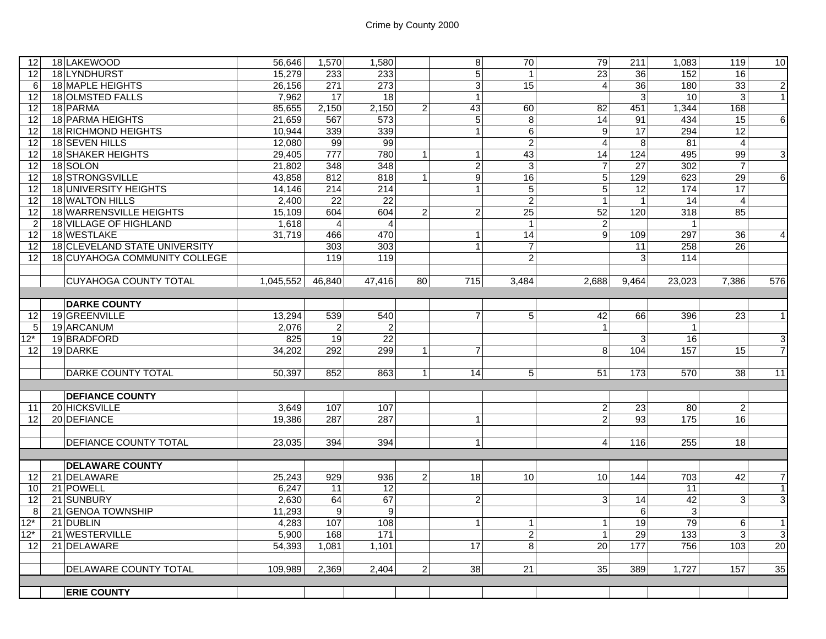| 12              | 18 LAKEWOOD                          | 56,646    | 1,570            | 1,580           |                | 8 <sup>1</sup>   | 70              | 79              | 211             | 1,083            | 119              | 10              |
|-----------------|--------------------------------------|-----------|------------------|-----------------|----------------|------------------|-----------------|-----------------|-----------------|------------------|------------------|-----------------|
| 12              | 18 LYNDHURST                         | 15,279    | 233              | 233             |                | 5 <sup>1</sup>   | $\overline{1}$  | 23              | 36              | 152              | 16               |                 |
| 6               | 18 MAPLE HEIGHTS                     | 26,156    | 271              | 273             |                | $\overline{3}$   | 15              | $\overline{4}$  | 36              | 180              | 33               | $\overline{2}$  |
| 12              | 18 OLMSTED FALLS                     | 7,962     | 17               | 18              |                | $\vert$          |                 |                 | $\mathbf{3}$    | 10               | 3                | 1               |
| 12              | 18 PARMA                             | 85,655    | 2,150            | 2,150           | $\overline{c}$ | 43               | 60              | 82              | 451             | 1,344            | 168              |                 |
| 12              | <b>18 PARMA HEIGHTS</b>              | 21,659    | 567              | 573             |                | $\overline{5}$   | 8               | $\overline{14}$ | 91              | 434              | 15               | $6\overline{6}$ |
| 12              | <b>18 RICHMOND HEIGHTS</b>           | 10,944    | 339              | 339             |                | $\mathbf{1}$     | 6               | 9               | $\overline{17}$ | 294              | $\overline{12}$  |                 |
| 12              | 18 SEVEN HILLS                       | 12,080    | 99               | 99              |                |                  | $\overline{2}$  | $\overline{4}$  | $\infty$        | 81               | $\overline{4}$   |                 |
| 12              | <b>18 SHAKER HEIGHTS</b>             | 29,405    | 777              | 780             | $\mathbf{1}$   | $\vert$ 1        | 43              | 14              | 124             | 495              | 99               | ვ               |
| 12              | 18 SOLON                             | 21,802    | 348              | 348             |                | $\overline{2}$   | 3               | $\overline{7}$  | 27              | 302              | $\overline{7}$   |                 |
| 12              | 18 STRONGSVILLE                      | 43,858    | 812              | 818             | $\mathbf{1}$   | $\overline{9}$   | 16              | 5               | 129             | 623              | 29               | $\overline{6}$  |
| 12              | 18 UNIVERSITY HEIGHTS                | 14,146    | 214              | 214             |                | $\mathbf{1}$     | 5               | 5               | 12              | 174              | $\overline{17}$  |                 |
| 12              | 18 WALTON HILLS                      | 2,400     | 22               | $\overline{22}$ |                |                  | $\overline{2}$  | $\mathbf{1}$    | $\overline{1}$  | 14               | $\overline{4}$   |                 |
| 12              | 18 WARRENSVILLE HEIGHTS              | 15,109    | 604              | 604             | $\overline{2}$ | $\overline{2}$   | $\overline{25}$ | 52              | 120             | 318              | 85               |                 |
| $\overline{2}$  | 18 VILLAGE OF HIGHLAND               | 1,618     | $\overline{4}$   | $\overline{4}$  |                |                  | $\overline{1}$  | $\overline{2}$  |                 | $\mathbf{1}$     |                  |                 |
| 12              | 18 WESTLAKE                          | 31.719    | 466              | 470             |                | 1 <sup>1</sup>   | $\overline{14}$ | 9               | 109             | 297              | $\overline{36}$  | $\overline{4}$  |
| 12              | <b>18 CLEVELAND STATE UNIVERSITY</b> |           | 303              | 303             |                | 1 <sup>1</sup>   | $\overline{7}$  |                 | 11              | 258              | 26               |                 |
| 12              | 18 CUYAHOGA COMMUNITY COLLEGE        |           | 119              | 119             |                |                  | $\overline{2}$  |                 | 3               | 114              |                  |                 |
|                 |                                      |           |                  |                 |                |                  |                 |                 |                 |                  |                  |                 |
|                 | <b>CUYAHOGA COUNTY TOTAL</b>         | 1,045,552 | 46,840           | 47,416          | 80             | $\overline{715}$ | 3,484           | 2,688           | 9,464           | 23,023           | 7,386            | 576             |
|                 |                                      |           |                  |                 |                |                  |                 |                 |                 |                  |                  |                 |
|                 | <b>DARKE COUNTY</b>                  |           |                  |                 |                |                  |                 |                 |                 |                  |                  |                 |
| 12 <sup>1</sup> | 19 GREENVILLE                        | 13,294    | 539              | 540             |                | $\overline{7}$   | 5 <sup>1</sup>  | 42              | 66              | 396              | 23               | $\mathbf{1}$    |
| 5               | 19 ARCANUM                           | 2.076     | $\overline{c}$   | 2               |                |                  |                 | $\mathbf{1}$    |                 | $\mathbf{1}$     |                  |                 |
| $12*$           | 19BRADFORD                           | 825       | 19               | $\overline{22}$ |                |                  |                 |                 | 3               | 16               |                  | $\mathbf{3}$    |
| 12              | 19 DARKE                             | 34,202    | 292              | 299             | $\mathbf{1}$   | $\overline{7}$   |                 | 8               | 104             | 157              | 15               | $\overline{7}$  |
|                 |                                      |           |                  |                 |                |                  |                 |                 |                 |                  |                  |                 |
|                 | <b>DARKE COUNTY TOTAL</b>            | 50,397    | 852              | 863             | $\mathbf{1}$   | 14               | 5 <sup>1</sup>  | 51              | 173             | 570              | 38               | $\overline{11}$ |
|                 |                                      |           |                  |                 |                |                  |                 |                 |                 |                  |                  |                 |
|                 | <b>DEFIANCE COUNTY</b>               |           |                  |                 |                |                  |                 |                 |                 |                  |                  |                 |
| 11              | 20 HICKSVILLE                        | 3.649     | 107              | 107             |                |                  |                 | $\overline{c}$  | 23              | 80               | $\overline{2}$   |                 |
| 12              | 20 DEFIANCE                          | 19,386    | 287              | 287             |                | 1                |                 | $\overline{c}$  | 93              | 175              | 16               |                 |
|                 |                                      |           |                  |                 |                |                  |                 |                 |                 |                  |                  |                 |
|                 | <b>DEFIANCE COUNTY TOTAL</b>         | 23.035    | 394              | 394             |                | 1 <sup>1</sup>   |                 | $\overline{4}$  | 116             | 255              | 18               |                 |
|                 |                                      |           |                  |                 |                |                  |                 |                 |                 |                  |                  |                 |
|                 | <b>DELAWARE COUNTY</b>               |           |                  |                 |                |                  |                 |                 |                 |                  |                  |                 |
| 12              | 21 DELAWARE                          | 25,243    | 929              | 936             | $\overline{2}$ | 18               | 10              | 10              | 144             | 703              | 42               | $\overline{7}$  |
| 10              | 21 POWELL                            | 6,247     | 11               | $\overline{12}$ |                |                  |                 |                 |                 | 11               |                  | $\overline{1}$  |
| 12              | 21 SUNBURY                           | 2,630     | 64               | 67              |                | $\overline{2}$   |                 | 3               | 14              | 42               | 3 <sup>1</sup>   | $\overline{3}$  |
| 8               | 21 GENOA TOWNSHIP                    | 11,293    | $\boldsymbol{9}$ | 9               |                |                  |                 |                 | 6               | $\overline{3}$   |                  |                 |
| $12*$           | 21 DUBLIN                            | 4,283     | 107              | 108             |                | 1                | $\mathbf{1}$    | $\mathbf{1}$    | 19              | 79               | $6 \overline{6}$ | $\mathbf{1}$    |
| $12*$           | 21 WESTERVILLE                       | 5,900     | 168              | $\frac{1}{171}$ |                |                  | $\overline{2}$  | $\mathbf{1}$    | 29              | $\overline{133}$ | $\overline{3}$   | $\overline{3}$  |
| 12              | 21 DELAWARE                          | 54,393    | 1,081            | 1,101           |                | 17               | 8               | 20              | 177             | 756              | 103              | 20              |
|                 |                                      |           |                  |                 |                |                  |                 |                 |                 |                  |                  |                 |
|                 | <b>DELAWARE COUNTY TOTAL</b>         | 109.989   | 2,369            | 2,404           | $\overline{2}$ | 38               | 21              | 35              | 389             | 1,727            | 157              | 35              |
|                 |                                      |           |                  |                 |                |                  |                 |                 |                 |                  |                  |                 |
|                 | <b>ERIE COUNTY</b>                   |           |                  |                 |                |                  |                 |                 |                 |                  |                  |                 |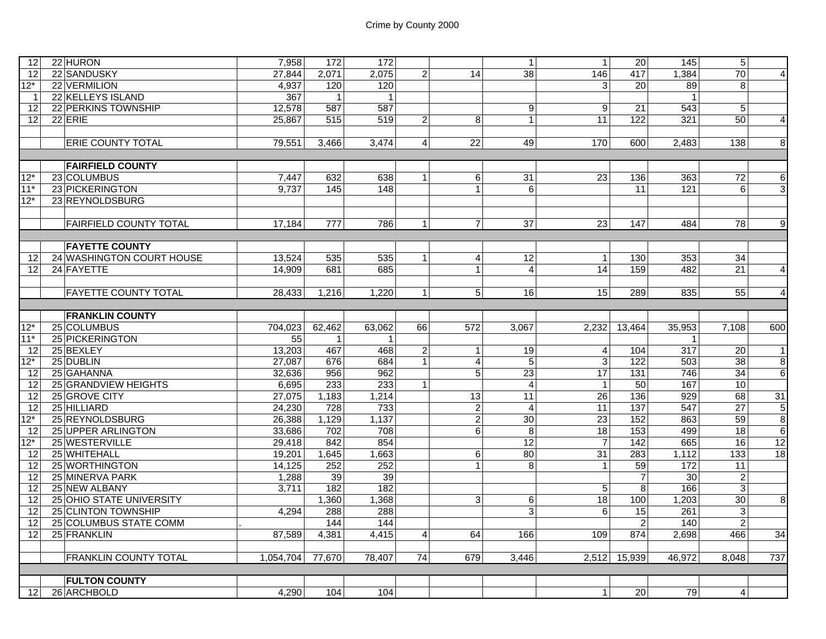| 12 <sup>1</sup> | 22 HURON                      | 7,958     | 172            | 172            |                |                | $\mathbf{1}$    | $\mathbf{1}$    | 20               | 145             | 5               |                         |
|-----------------|-------------------------------|-----------|----------------|----------------|----------------|----------------|-----------------|-----------------|------------------|-----------------|-----------------|-------------------------|
| 12              | 22 SANDUSKY                   | 27.844    | 2,071          | 2,075          | 2              | 14             | 38              | 146             | 417              | 1,384           | 70              | $\overline{\mathbf{A}}$ |
| $12*$           | 22 VERMILION                  | 4,937     | 120            | 120            |                |                |                 | 3               | 20               | 89              | 8               |                         |
| -1              | 22 KELLEYS ISLAND             | 367       | $\mathbf{1}$   | $\overline{1}$ |                |                |                 |                 |                  | $\mathbf{1}$    |                 |                         |
| 12              | 22 PERKINS TOWNSHIP           | 12,578    | 587            | 587            |                |                | 9               | 9               | 21               | 543             | 5 <sup>1</sup>  |                         |
| 12 <sub>1</sub> | $22$ ERIE                     | 25.867    | 515            | 519            | $\overline{2}$ | 8              | 1               | 11              | 122              | 321             | 50 <sub>1</sub> | $\overline{4}$          |
|                 |                               |           |                |                |                |                |                 |                 |                  |                 |                 |                         |
|                 | <b>ERIE COUNTY TOTAL</b>      | 79,551    | 3,466          | 3,474          | $\overline{4}$ | 22             | 49              | 170             | 600              | 2,483           | 138             | $\overline{\infty}$     |
|                 |                               |           |                |                |                |                |                 |                 |                  |                 |                 |                         |
|                 | <b>FAIRFIELD COUNTY</b>       |           |                |                |                |                |                 |                 |                  |                 |                 |                         |
| $12*$           | 23 COLUMBUS                   | 7,447     | 632            | 638            | $\overline{1}$ | 6              | 31              | 23              | 136              | 363             | 72              | 6                       |
| $11*$           | 23 PICKERINGTON               | 9,737     | 145            | 148            |                | $\mathbf{1}$   | 6               |                 | 11               | 121             | $6 \mid$        | 3 <sup>1</sup>          |
| $12*$           | 23 REYNOLDSBURG               |           |                |                |                |                |                 |                 |                  |                 |                 |                         |
|                 |                               |           |                |                |                |                |                 |                 |                  |                 |                 |                         |
|                 | <b>FAIRFIELD COUNTY TOTAL</b> | 17.184    | 777            | 786            | $\vert$ 1      | $\overline{7}$ | 37              | 23              | 147              | 484             | 78              | g                       |
|                 |                               |           |                |                |                |                |                 |                 |                  |                 |                 |                         |
|                 | <b>FAYETTE COUNTY</b>         |           |                |                |                |                |                 |                 |                  |                 |                 |                         |
| 12              | 24 WASHINGTON COURT HOUSE     | 13,524    | 535            | 535            | $\overline{1}$ | $\overline{4}$ | 12              | $\overline{1}$  | 130              | 353             | 34              |                         |
| 12              | 24 FAYETTE                    | 14.909    | 681            | 685            |                | $\mathbf{1}$   | $\overline{4}$  | 14              | 159              | 482             | 21              | $\overline{4}$          |
|                 |                               |           |                |                |                |                |                 |                 |                  |                 |                 |                         |
|                 | <b>FAYETTE COUNTY TOTAL</b>   | 28,433    | 1,216          | 1,220          | $\mathbf{1}$   | 5 <sup>1</sup> | 16              | 15              | 289              | 835             | 55              | $\overline{\mathbf{A}}$ |
|                 |                               |           |                |                |                |                |                 |                 |                  |                 |                 |                         |
|                 | <b>FRANKLIN COUNTY</b>        |           |                |                |                |                |                 |                 |                  |                 |                 |                         |
| $12*$           | 25 COLUMBUS                   | 704,023   | 62,462         | 63,062         | 66             | 572            | 3,067           | 2,232           | 13,464           | 35,953          | 7,108           | 600                     |
| $11*$           | 25 PICKERINGTON               | 55        | $\overline{1}$ | $\mathbf{1}$   |                |                |                 |                 |                  | $\mathbf{1}$    |                 |                         |
| 12              | 25 BEXLEY                     | 13,203    | 467            | 468            | $\overline{c}$ | 1              | 19              | $\overline{4}$  | 104              | 317             | 20              | $\mathbf{1}$            |
| 12*             | 25 DUBLIN                     | 27,087    | 676            | 684            | $\mathbf{1}$   | $\overline{4}$ | 5               | $\overline{3}$  | 122              | 503             | 38              | $\infty$                |
| 12              | 25 GAHANNA                    | 32,636    | 956            | 962            |                | 5              | $\overline{23}$ | 17              | $\overline{131}$ | 746             | 34              | $6 \overline{}$         |
| 12              | 25 GRANDVIEW HEIGHTS          | 6,695     | 233            | 233            | $\mathbf{1}$   |                | $\overline{4}$  | $\overline{1}$  | 50               | 167             | 10 <sup>1</sup> |                         |
| 12              | 25 GROVE CITY                 | 27,075    | 1,183          | 1,214          |                | 13             | 11              | $\overline{26}$ | $\frac{1}{136}$  | 929             | 68              | 31                      |
| 12              | 25 HILLIARD                   | 24,230    | 728            | 733            |                | $\overline{c}$ | $\overline{4}$  | $\overline{11}$ | 137              | 547             | $\overline{27}$ | 5                       |
| $12*$           | 25 REYNOLDSBURG               | 26,388    | 1,129          | 1,137          |                | $\overline{2}$ | 30              | $\overline{23}$ | 152              | 863             | 59              | $\infty$                |
| 12              | 25 UPPER ARLINGTON            | 33,686    | 702            | 708            |                | $\,6$          | 8               | 18              | 153              | 499             | 18              | $6\phantom{1}6$         |
| $12*$           | 25 WESTERVILLE                | 29,418    | 842            | 854            |                |                | 12              | $\overline{7}$  | 142              | 665             | 16              | 12                      |
| 12              | 25 WHITEHALL                  | 19,201    | 1,645          | 1,663          |                | 6              | 80              | $\overline{31}$ | 283              | 1,112           | 133             | 18                      |
| 12              | 25 WORTHINGTON                | 14,125    | 252            | 252            |                | $\mathbf{1}$   | 8               | $\mathbf{1}$    | 59               | 172             | 11              |                         |
| 12              | 25 MINERVA PARK               | 1,288     | 39             | 39             |                |                |                 |                 | $\overline{7}$   | $\overline{30}$ | $\overline{2}$  |                         |
| 12              | 25 NEW ALBANY                 | 3,711     | 182            | 182            |                |                |                 | 5               | $\overline{8}$   | 166             | $\overline{3}$  |                         |
| 12              | 25 OHIO STATE UNIVERSITY      |           | 1,360          | 1,368          |                | $\overline{3}$ | 6               | $\overline{18}$ | 100              | 1,203           | 30 <sup>1</sup> | 8                       |
| 12              | 25 CLINTON TOWNSHIP           | 4.294     | 288            | 288            |                |                | 3               | 6               | $\overline{15}$  | 261             | 3 <sup>1</sup>  |                         |
| 12              | 25 COLUMBUS STATE COMM        |           | 144            | 144            |                |                |                 |                 | $\overline{c}$   | 140             | $\overline{2}$  |                         |
| 12              | 25 FRANKLIN                   | 87,589    | 4,381          | 4,415          | 4              | 64             | 166             | 109             | 874              | 2,698           | 466             | $\overline{34}$         |
|                 | <b>FRANKLIN COUNTY TOTAL</b>  | 1,054,704 |                | 78,407         | 74             | 679            |                 | 2.512           | 15,939           |                 | 8.048           | 737                     |
|                 |                               |           | 77,670         |                |                |                | 3,446           |                 |                  | 46,972          |                 |                         |
|                 | <b>FULTON COUNTY</b>          |           |                |                |                |                |                 |                 |                  |                 |                 |                         |
| 12 <sup>2</sup> | 26 ARCHBOLD                   | 4,290     | 104            | 104            |                |                |                 | $\mathbf{1}$    | 20               | 79              | 4 <sup>1</sup>  |                         |
|                 |                               |           |                |                |                |                |                 |                 |                  |                 |                 |                         |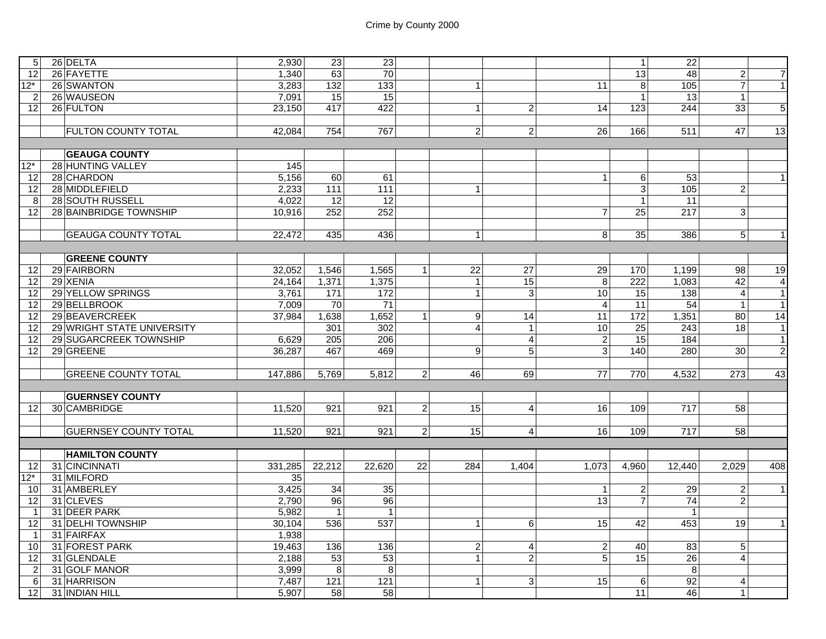| 5 <sup>1</sup>  | 26 DELTA                     | 2,930            | 23               | 23               |                |                |                |                         | $1\vert$        | $\overline{22}$  |                  |                |
|-----------------|------------------------------|------------------|------------------|------------------|----------------|----------------|----------------|-------------------------|-----------------|------------------|------------------|----------------|
| 12              | 26 FAYETTE                   | 1,340            | 63               | 70               |                |                |                |                         | 13              | 48               | $\overline{2}$   | $\overline{7}$ |
| $12*$           | 26 SWANTON                   | 3,283            | 132              | 133              |                | $\mathbf{1}$   |                | 11                      | 8               | 105              | $\overline{7}$   | $\vert$ 1      |
| $\mathcal{P}$   | 26 WAUSEON                   | 7,091            | 15               | 15               |                |                |                |                         | $\overline{1}$  | 13               | $\mathbf{1}$     |                |
| 12              | 26 FULTON                    | 23,150           | 417              | 422              |                | $\overline{1}$ | $\overline{a}$ | 14                      | 123             | 244              | 33               | 5 <sub>5</sub> |
|                 |                              |                  |                  |                  |                |                |                |                         |                 |                  |                  |                |
|                 | <b>FULTON COUNTY TOTAL</b>   | 42,084           | 754              | 767              |                | $2 \vert$      | 2 <sup>1</sup> | $\overline{26}$         | 166             | $\overline{511}$ | 47               | 13             |
|                 |                              |                  |                  |                  |                |                |                |                         |                 |                  |                  |                |
|                 | <b>GEAUGA COUNTY</b>         |                  |                  |                  |                |                |                |                         |                 |                  |                  |                |
| $12*$           | 28 HUNTING VALLEY            | $\overline{145}$ |                  |                  |                |                |                |                         |                 |                  |                  |                |
| 12              | 28 CHARDON                   | 5,156            | 60               | 61               |                |                |                | $\mathbf{1}$            | 6               | 53               |                  | 1              |
| 12              | 28 MIDDLEFIELD               | 2,233            | 111              | 111              |                | $\overline{1}$ |                |                         | $\mathbf{3}$    | 105              | $\overline{2}$   |                |
| 8               | 28 SOUTH RUSSELL             | 4,022            | 12               | 12               |                |                |                |                         | $\overline{1}$  | 11               |                  |                |
| 12 <sub>l</sub> | 28 BAINBRIDGE TOWNSHIP       | 10,916           | 252              | 252              |                |                |                | $\overline{7}$          | 25              | 217              | $\overline{3}$   |                |
|                 |                              |                  |                  |                  |                |                |                |                         |                 |                  |                  |                |
|                 | <b>GEAUGA COUNTY TOTAL</b>   | 22,472           | 435              | 436              |                | $\mathbf{1}$   |                | 8 <sup>1</sup>          | 35              | 386              | 5 <sup>5</sup>   | $\vert$ 1      |
|                 |                              |                  |                  |                  |                |                |                |                         |                 |                  |                  |                |
|                 | <b>GREENE COUNTY</b>         |                  |                  |                  |                |                |                |                         |                 |                  |                  |                |
| 12              | 29 FAIRBORN                  | 32.052           | 1,546            | 1,565            | $\mathbf{1}$   | 22             | 27             | 29                      | 170             | 1,199            | 98               | 19             |
| 12              | 29 XENIA                     | 24,164           | 1,371            | 1,375            |                | $\mathbf{1}$   | 15             | $\overline{8}$          | 222             | 1,083            | 42               | $\overline{4}$ |
| 12              | 29 YELLOW SPRINGS            | 3,761            | $\overline{171}$ | 172              |                | $\overline{1}$ | $\mathbf{3}$   | 10                      | $\overline{15}$ | 138              | $\overline{4}$   | $\vert$ 1      |
| 12              | 29 BELLBROOK                 | 7,009            | 70               | $\overline{71}$  |                |                |                | $\overline{4}$          | $\overline{11}$ | $\overline{54}$  | $\mathbf{1}$     | $\vert$ 1      |
| 12              | 29 BEAVERCREEK               | 37,984           | 1,638            | 1,652            | $\mathbf{1}$   | 9              | 14             | $\overline{11}$         | $\frac{1}{172}$ | 1,351            | 80               | 14             |
| 12              | 29 WRIGHT STATE UNIVERSITY   |                  | 301              | 302              |                | $\overline{4}$ | $\mathbf{1}$   | 10                      | 25              | 243              | 18               | $\vert$ 1      |
| 12              | 29 SUGARCREEK TOWNSHIP       | 6,629            | $\overline{205}$ | $\overline{206}$ |                |                | $\overline{4}$ | $\overline{2}$          | 15              | 184              |                  | $\overline{1}$ |
| 12              | 29 GREENE                    | 36.287           | 467              | 469              |                | 9              | 5 <sub>1</sub> | ვ                       | 140             | 280              | 30 <sup>1</sup>  | $\overline{2}$ |
|                 |                              |                  |                  |                  |                |                |                |                         |                 |                  |                  |                |
|                 | <b>GREENE COUNTY TOTAL</b>   | 147,886          | 5,769            | 5,812            | $\overline{c}$ | 46             | 69             | 77                      | 770             | 4,532            | 273              | 43             |
|                 |                              |                  |                  |                  |                |                |                |                         |                 |                  |                  |                |
|                 | <b>GUERNSEY COUNTY</b>       |                  |                  |                  |                |                |                |                         |                 |                  |                  |                |
| 12              | 30 CAMBRIDGE                 | 11,520           | 921              | 921              | $\overline{c}$ | 15             | $\overline{4}$ | $\overline{16}$         | 109             | 717              | 58               |                |
|                 |                              |                  |                  |                  |                |                |                |                         |                 |                  |                  |                |
|                 | <b>GUERNSEY COUNTY TOTAL</b> | 11,520           | 921              | 921              | $\overline{c}$ | 15             | $\vert$        | 16                      | 109             | 717              | 58               |                |
|                 |                              |                  |                  |                  |                |                |                |                         |                 |                  |                  |                |
|                 | <b>HAMILTON COUNTY</b>       |                  |                  |                  |                |                |                |                         |                 |                  |                  |                |
| 12              | 31 CINCINNATI                | 331,285          | 22,212           | 22.620           | 22             | 284            | 1.404          | 1.073                   | 4.960           | 12.440           | 2.029            | 408            |
| $12*$           | 31 MILFORD                   | 35               |                  |                  |                |                |                |                         |                 |                  |                  |                |
| 10              | 31 AMBERLEY                  | 3,425            | $\overline{34}$  | 35               |                |                |                | $\mathbf{1}$            | $\overline{c}$  | 29               | $\overline{2}$   | $\vert$ 1      |
| 12              | 31 CLEVES                    | 2,790            | 96               | $\overline{96}$  |                |                |                | 13                      | $\overline{7}$  | 74               | $\overline{2}$   |                |
| $\overline{1}$  | 31 DEER PARK                 | 5,982            | $\overline{1}$   | $\mathbf{1}$     |                |                |                |                         |                 | -1               |                  |                |
| 12              | 31 DELHI TOWNSHIP            | 30,104           | 536              | 537              |                | $\mathbf{1}$   | 6              | 15                      | 42              | 453              | 19               | $\vert$ 1      |
| $\overline{1}$  | 31 FAIRFAX                   | 1,938            |                  |                  |                |                |                |                         |                 |                  |                  |                |
| 10              | 31 FOREST PARK               | 19,463           | 136              | 136              |                | $\overline{2}$ | $\overline{a}$ | $\overline{\mathbf{c}}$ | 40              | 83               | $\overline{5}$   |                |
| 12              | 31 GLENDALE                  | 2,188            | 53               | 53               |                | $\overline{1}$ | $\overline{2}$ | 5                       | 15              | 26               | $\overline{4}$   |                |
| $\overline{2}$  | 31 GOLF MANOR                | 3,999            | $\overline{8}$   | $\infty$         |                |                |                |                         |                 | $\overline{8}$   |                  |                |
| 6               | 31 HARRISON                  | 7,487            | $\overline{121}$ | 121              |                | $\mathbf{1}$   | 3              | 15                      | 6               | 92               | $\boldsymbol{4}$ |                |
| 12 <sub>1</sub> | 31 INDIAN HILL               | 5,907            | 58               | 58               |                |                |                |                         | 11              | 46               | $\mathbf{1}$     |                |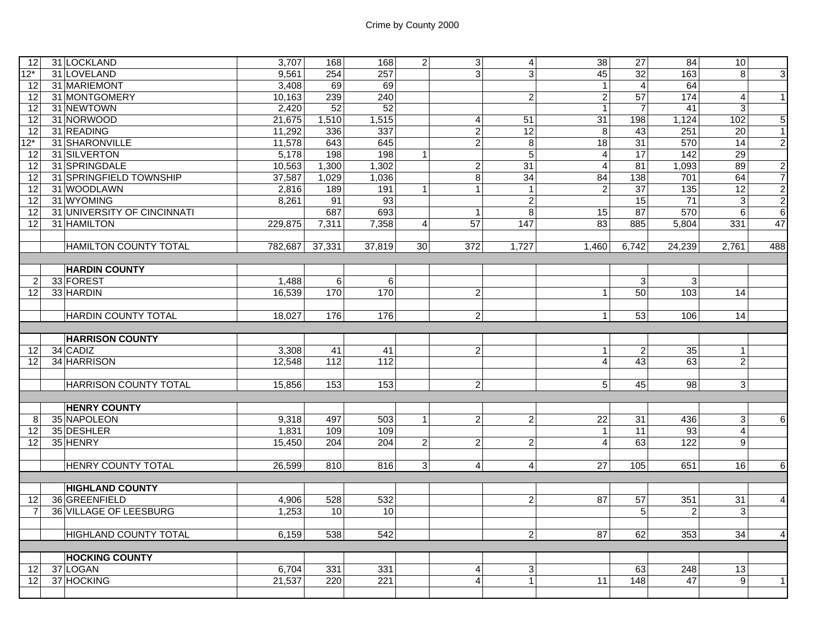| 12              | 31 LOCKLAND                   | 3,707   | 168        | 168              | $\overline{2}$ | 3                       | $\overline{a}$  | 38              | 27              | 84               | 10 <sup>1</sup> |                                                    |
|-----------------|-------------------------------|---------|------------|------------------|----------------|-------------------------|-----------------|-----------------|-----------------|------------------|-----------------|----------------------------------------------------|
| $12*$           | 31 LOVELAND                   | 9.561   | 254        | 257              |                | ვ                       | 3               | 45              | 32              | 163              | $\overline{8}$  | $\overline{3}$                                     |
| 12              | 31 MARIEMONT                  | 3,408   | 69         | 69               |                |                         |                 | $\mathbf{1}$    | $\overline{4}$  | 64               |                 |                                                    |
| 12              | 31 MONTGOMERY                 | 10,163  | 239        | 240              |                |                         | $\overline{2}$  | $\overline{2}$  | 57              | 174              | $\overline{4}$  | $\overline{1}$                                     |
| 12              | 31 NEWTOWN                    | 2,420   | 52         | 52               |                |                         |                 | $\mathbf{1}$    | $\overline{7}$  | 41               | $\mathbf{3}$    |                                                    |
| 12              | 31 NORWOOD                    | 21,675  | 1,510      | 1,515            |                | $\overline{\mathbf{4}}$ | 51              | $\overline{31}$ | 198             | 1,124            | 102             | $\overline{5}$                                     |
| 12              | 31 READING                    | 11,292  | 336        | 337              |                | $\boldsymbol{2}$        | 12              | 8               | 43              | 251              | 20              | $\mathbf{1}$                                       |
| $12*$           | 31 SHARONVILLE                | 11,578  | 643        | 645              |                | $\overline{2}$          | $\,8\,$         | 18              | 31              | 570              | 14              | $\overline{2}$                                     |
| 12              | 31 SILVERTON                  | 5,178   | 198        | $\overline{198}$ | $\mathbf{1}$   |                         | $\overline{5}$  | $\overline{4}$  | $\overline{17}$ | 142              | 29              |                                                    |
| 12              | 31 SPRINGDALE                 | 10,563  | 1,300      | 1,302            |                | $\overline{2}$          | $\overline{31}$ | $\overline{4}$  | $\overline{81}$ | 1,093            | 89              | $\overline{2}$                                     |
| 12              | 31 SPRINGFIELD TOWNSHIP       | 37,587  | 1,029      | 1,036            |                | $\infty$                | 34              | 84              | 138             | 701              | 64              | $\overline{7}$                                     |
| 12              | 31 WOODLAWN                   | 2,816   | 189        | 191              | $\mathbf{1}$   | $\mathbf{1}$            | $\overline{1}$  | $\overline{2}$  | 37              | $\frac{135}{ }$  | 12              |                                                    |
| $\overline{12}$ | 31 WYOMING                    | 8,261   | 91         | 93               |                |                         | $\overline{2}$  |                 | 15              | $\overline{71}$  | $\mathbf{3}$    | $\frac{2}{2}$                                      |
| 12              | 31 UNIVERSITY OF CINCINNATI   |         | 687        | 693              |                | $\mathbf{1}$            | 8               | 15              | $\overline{87}$ | 570              | $6 \mid$        | $6\phantom{.}6$                                    |
| 12              | 31 HAMILTON                   | 229,875 | 7,311      | 7,358            | $\overline{4}$ | 57                      | 147             | 83              | 885             | 5,804            | 331             | 47                                                 |
|                 |                               |         |            |                  |                |                         |                 |                 |                 |                  |                 |                                                    |
|                 | <b>HAMILTON COUNTY TOTAL</b>  | 782,687 | 37,331     | 37.819           | 30             | 372                     | 1,727           | 1.460           | 6,742           | 24,239           | 2,761           | 488                                                |
|                 |                               |         |            |                  |                |                         |                 |                 |                 |                  |                 |                                                    |
|                 | <b>HARDIN COUNTY</b>          |         |            |                  |                |                         |                 |                 |                 |                  |                 |                                                    |
| $\overline{2}$  | 33 FOREST                     | 1,488   | $\sqrt{6}$ | 6                |                |                         |                 |                 | 3 <sup>1</sup>  | 3 <sup>1</sup>   |                 |                                                    |
| 12              | 33 HARDIN                     | 16,539  | 170        | 170              |                | $\overline{2}$          |                 | $\mathbf{1}$    | 50              | 103              | 14              |                                                    |
|                 |                               |         |            |                  |                |                         |                 |                 |                 |                  |                 |                                                    |
|                 | <b>HARDIN COUNTY TOTAL</b>    | 18,027  | 176        | 176              |                | $\overline{2}$          |                 | $\mathbf{1}$    | 53              | 106              | 14              |                                                    |
|                 |                               |         |            |                  |                |                         |                 |                 |                 |                  |                 |                                                    |
|                 |                               |         |            |                  |                |                         |                 |                 |                 |                  |                 |                                                    |
|                 |                               |         |            |                  |                |                         |                 |                 |                 |                  |                 |                                                    |
|                 | <b>HARRISON COUNTY</b>        |         |            |                  |                |                         |                 |                 |                 |                  |                 |                                                    |
| 12              | 34 CADIZ                      | 3,308   | 41         | 41               |                | $\overline{2}$          |                 | $\mathbf{1}$    | $\overline{c}$  | 35               | $\vert$ 1       |                                                    |
| 12              | 34 HARRISON                   | 12,548  | 112        | 112              |                |                         |                 | $\overline{4}$  | 43              | 63               | $\overline{2}$  |                                                    |
|                 |                               |         |            |                  |                |                         |                 |                 |                 |                  |                 |                                                    |
|                 | <b>HARRISON COUNTY TOTAL</b>  | 15,856  | 153        | 153              |                | $\overline{2}$          |                 | 5               | 45              | 98               | 3 <sup>1</sup>  |                                                    |
|                 |                               |         |            |                  |                |                         |                 |                 |                 |                  |                 |                                                    |
|                 | <b>HENRY COUNTY</b>           |         |            |                  |                |                         |                 |                 |                 |                  |                 |                                                    |
| 8               | 35 NAPOLEON                   | 9.318   | 497        | 503              | $\mathbf{1}$   | $\overline{2}$          | $\overline{2}$  | $\overline{22}$ | 31              | 436              | 3 <sup>1</sup>  |                                                    |
| 12              | 35 DESHLER                    | 1,831   | 109        | 109              |                |                         |                 | $\mathbf{1}$    | 11              | 93               | $\overline{4}$  |                                                    |
| 12              | 35 HENRY                      | 15,450  | 204        | 204              | $\overline{c}$ | $\overline{a}$          | $\overline{2}$  | $\overline{4}$  | 63              | $\overline{122}$ | $\overline{9}$  |                                                    |
|                 |                               |         |            |                  |                |                         |                 |                 |                 |                  |                 |                                                    |
|                 | HENRY COUNTY TOTAL            | 26,599  | 810        | 816              | 3              | $\vert$                 | $\vert$         | 27              | 105             | 651              | 16 <sup>1</sup> |                                                    |
|                 |                               |         |            |                  |                |                         |                 |                 |                 |                  |                 |                                                    |
|                 | <b>HIGHLAND COUNTY</b>        |         |            |                  |                |                         |                 |                 |                 |                  |                 |                                                    |
| 12              | 36 GREENFIELD                 | 4,906   | 528        | 532              |                |                         | $\overline{a}$  | 87              | 57              | 351              | 31              | $\overline{\mathbf{4}}$                            |
| $\overline{7}$  | <b>36 VILLAGE OF LEESBURG</b> | 1,253   | 10         | 10               |                |                         |                 |                 | $\overline{5}$  | $\overline{2}$   | $\mathbf{3}$    |                                                    |
|                 |                               |         |            |                  |                |                         |                 |                 |                 |                  |                 |                                                    |
|                 | <b>HIGHLAND COUNTY TOTAL</b>  | 6,159   | 538        | 542              |                |                         | $\overline{a}$  | $\overline{87}$ | 62              | 353              | 34              | $\overline{4}$                                     |
|                 |                               |         |            |                  |                |                         |                 |                 |                 |                  |                 |                                                    |
|                 | <b>HOCKING COUNTY</b>         |         |            |                  |                |                         |                 |                 |                 |                  |                 |                                                    |
| 12              | 37 LOGAN                      | 6,704   | 331        | 331              |                | $\overline{4}$          | 3               |                 | 63              | 248              | 13              |                                                    |
| 12              | 37 HOCKING                    | 21,537  | 220        | 221              |                | $\overline{4}$          | 1               | 11              | 148             | 47               | 9               | $6\phantom{1}$<br>$6 \overline{6}$<br>$\mathbf{1}$ |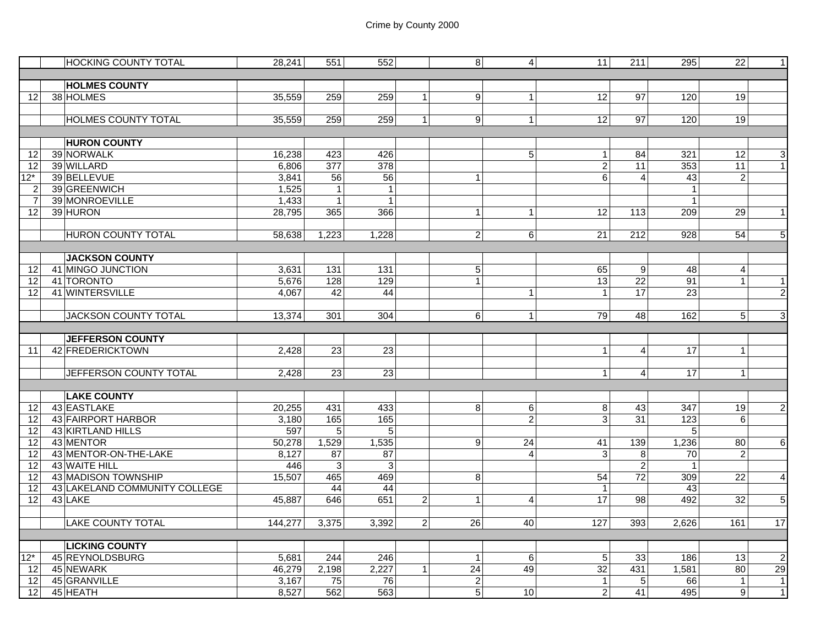|                       | <b>HOCKING COUNTY TOTAL</b>                 | 28,241         | 551                          | 552                          |                | 8 <sup>8</sup>                   | $\overline{4}$ | 11                             | 211              | 295                            | 22                   | $\mathbf{1}$                   |
|-----------------------|---------------------------------------------|----------------|------------------------------|------------------------------|----------------|----------------------------------|----------------|--------------------------------|------------------|--------------------------------|----------------------|--------------------------------|
|                       |                                             |                |                              |                              |                |                                  |                |                                |                  |                                |                      |                                |
|                       | <b>HOLMES COUNTY</b>                        |                |                              |                              |                |                                  |                |                                |                  |                                |                      |                                |
| 12                    | 38 HOLMES                                   | 35,559         | 259                          | 259                          | $\mathbf{1}$   | G)                               | $\mathbf 1$    | 12                             | 97               | 120                            | 19                   |                                |
|                       |                                             |                |                              |                              |                |                                  |                |                                |                  |                                |                      |                                |
|                       | <b>HOLMES COUNTY TOTAL</b>                  | 35,559         | 259                          | 259                          | 1 <sup>1</sup> | 9                                | $\mathbf{1}$   | 12                             | $\overline{97}$  | 120                            | 19                   |                                |
|                       |                                             |                |                              |                              |                |                                  |                |                                |                  |                                |                      |                                |
|                       | <b>HURON COUNTY</b>                         |                |                              |                              |                |                                  |                |                                |                  |                                |                      |                                |
| 12                    | 39 NORWALK                                  | 16,238         | 423                          | 426                          |                |                                  | 5              | 1 <sup>1</sup>                 | 84               | 321                            | $\overline{12}$      | $\overline{3}$                 |
| $\overline{12}$       | 39 WILLARD                                  | 6,806          | $\overline{377}$             | 378                          |                |                                  |                | $\overline{2}$                 | 11               | 353                            | 11                   | $\overline{1}$                 |
| $12*$                 | 39 BELLEVUE                                 | 3,841          | 56                           | 56                           |                | $\mathbf{1}$                     |                | 6                              | $\overline{4}$   | 43                             | $\overline{2}$       |                                |
| $\overline{2}$        | 39 GREENWICH<br>39 MONROEVILLE              | 1,525<br>1,433 | $\mathbf{1}$<br>$\mathbf{1}$ | $\mathbf{1}$<br>$\mathbf{1}$ |                |                                  |                |                                |                  | $\mathbf{1}$<br>$\overline{1}$ |                      |                                |
| $\overline{7}$        | 39 HURON                                    | 28,795         | 365                          | 366                          |                |                                  | $\mathbf{1}$   | 12                             | 113              | 209                            | 29                   | $\mathbf{1}$                   |
| 12                    |                                             |                |                              |                              |                | $\mathbf{1}$                     |                |                                |                  |                                |                      |                                |
|                       | <b>HURON COUNTY TOTAL</b>                   | 58,638         | 1,223                        | 1,228                        |                | $\overline{2}$                   | 6              | 21                             | 212              | 928                            | 54                   | 5                              |
|                       |                                             |                |                              |                              |                |                                  |                |                                |                  |                                |                      |                                |
|                       | <b>JACKSON COUNTY</b>                       |                |                              |                              |                |                                  |                |                                |                  |                                |                      |                                |
| 12                    | 41 MINGO JUNCTION                           | 3,631          | $\overline{131}$             | 131                          |                | $\mathbf 5$                      |                | 65                             | $\boldsymbol{9}$ | 48                             | $\overline{4}$       |                                |
| 12                    | 41 TORONTO                                  | 5,676          | 128                          | 129                          |                | $\overline{1}$                   |                | 13                             | $\overline{22}$  | 91                             | $\mathbf{1}$         | $\mathbf{1}$                   |
| 12                    | 41 WINTERSVILLE                             | 4.067          | 42                           | 44                           |                |                                  | $\mathbf 1$    | $\vert$ 1                      | $\overline{17}$  | 23                             |                      | $\overline{2}$                 |
|                       |                                             |                |                              |                              |                |                                  |                |                                |                  |                                |                      |                                |
|                       | <b>JACKSON COUNTY TOTAL</b>                 | 13,374         | 301                          | 304                          |                | 6                                | $\mathbf{1}$   | 79                             | 48               | 162                            | 5 <sup>1</sup>       | 3                              |
|                       |                                             |                |                              |                              |                |                                  |                |                                |                  |                                |                      |                                |
|                       |                                             |                |                              |                              |                |                                  |                |                                |                  |                                |                      |                                |
|                       |                                             |                |                              |                              |                |                                  |                |                                |                  |                                |                      |                                |
| 11                    | <b>JEFFERSON COUNTY</b><br>42 FREDERICKTOWN | 2,428          | 23                           | 23                           |                |                                  |                | 1 <sup>1</sup>                 | $\overline{4}$   | 17                             | $\mathbf{1}$         |                                |
|                       |                                             |                |                              |                              |                |                                  |                |                                |                  |                                |                      |                                |
|                       | JEFFERSON COUNTY TOTAL                      | 2,428          | 23                           | 23                           |                |                                  |                | 1 <sup>1</sup>                 | $\overline{4}$   | 17                             | $\mathbf{1}$         |                                |
|                       |                                             |                |                              |                              |                |                                  |                |                                |                  |                                |                      |                                |
|                       | <b>LAKE COUNTY</b>                          |                |                              |                              |                |                                  |                |                                |                  |                                |                      |                                |
| 12                    | 43 EASTLAKE                                 | 20,255         | 431                          | 433                          |                | 8                                | 6              | 8                              | 43               | 347                            | 19                   | $\overline{2}$                 |
| 12                    | 43 FAIRPORT HARBOR                          | 3,180          | 165                          | 165                          |                |                                  | $\overline{c}$ | $\overline{3}$                 | $\overline{31}$  | 123                            | 6                    |                                |
| 12                    | 43 KIRTLAND HILLS                           | 597            | 5                            | 5                            |                |                                  |                |                                |                  | 5                              |                      |                                |
| 12                    | 43 MENTOR                                   | 50,278         | 1,529                        | 1,535                        |                | 9                                | 24             | 41                             | 139              | 1,236                          | 80                   | $\,6$                          |
| $\overline{12}$       | 43 MENTOR-ON-THE-LAKE                       | 8,127          | 87                           | 87                           |                |                                  | $\overline{4}$ | $\mathbf{3}$                   | 8                | 70                             | $\overline{2}$       |                                |
| $\overline{12}$       | 43 WAITE HILL                               | 446            | $\mathbf{3}$                 | 3                            |                |                                  |                |                                | $\overline{2}$   | $\overline{1}$                 |                      |                                |
| 12                    | 43 MADISON TOWNSHIP                         | 15,507         | 465                          | 469                          |                | 8                                |                | 54                             | $\overline{72}$  | 309                            | 22                   | $\overline{\mathbf{4}}$        |
| 12                    | 43 LAKELAND COMMUNITY COLLEGE               |                | 44                           | 44                           |                |                                  |                | 1                              |                  | 43                             |                      |                                |
| 12                    | 43 LAKE                                     | 45,887         | 646                          | 651                          | $\overline{2}$ | $\mathbf{1}$                     | $\overline{4}$ | 17                             | 98               | 492                            | 32                   | 5                              |
|                       |                                             |                |                              |                              |                |                                  |                |                                |                  |                                |                      |                                |
|                       | <b>LAKE COUNTY TOTAL</b>                    | 144,277        | 3,375                        | 3,392                        | $\overline{2}$ | 26                               | 40             | 127                            | 393              | 2,626                          | 161                  | 17                             |
|                       |                                             |                |                              |                              |                |                                  |                |                                |                  |                                |                      |                                |
|                       | <b>LICKING COUNTY</b>                       |                |                              |                              |                |                                  |                |                                |                  |                                |                      |                                |
| $12*$                 | 45 REYNOLDSBURG                             | 5,681          | 244                          | $\overline{246}$             |                | $\mathbf{1}$                     | 6              | 5 <sup>5</sup>                 | $\overline{33}$  | 186                            | $\overline{13}$      | $\overline{2}$                 |
| 12                    | 45 NEWARK                                   | 46,279         | 2,198                        | 2,227                        | $\mathbf{1}$   | $\overline{24}$                  | 49             | $\overline{32}$                | 431              | 1,581                          | 80                   | 29                             |
| 12<br>12 <sub>1</sub> | 45 GRANVILLE<br>45 HEATH                    | 3,167<br>8,527 | 75<br>562                    | 76<br>563                    |                | $\overline{c}$<br>$\overline{5}$ | 10             | $\mathbf{1}$<br>$\overline{2}$ | 5<br>41          | 66<br>495                      | $\overline{1}$<br> 9 | $\mathbf{1}$<br>$\overline{1}$ |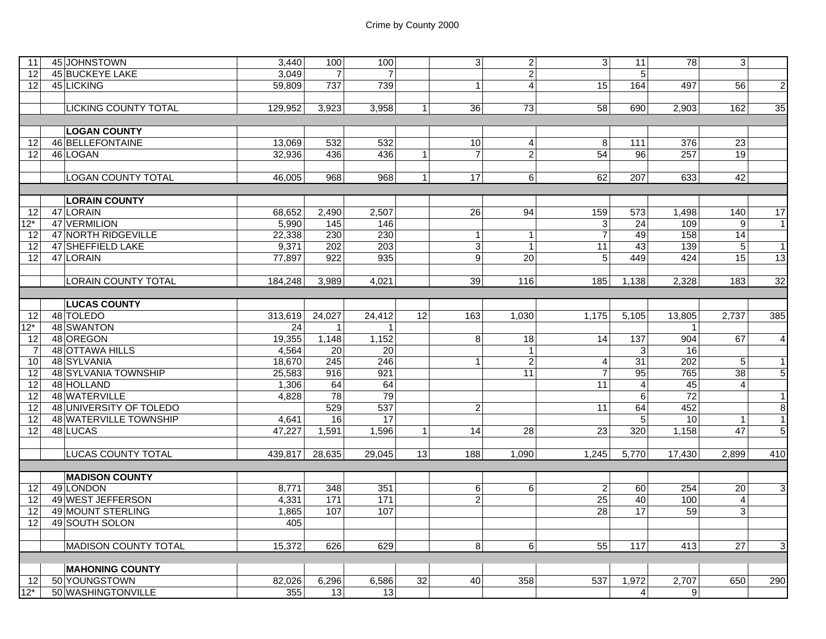| 11                | 45 JOHNSTOWN                | 3,440   | 100              | 100             |                 | 3 <sup>1</sup>   | $\overline{2}$   | 3 <sup>1</sup>          | 11                | 78               | 3                       |                 |
|-------------------|-----------------------------|---------|------------------|-----------------|-----------------|------------------|------------------|-------------------------|-------------------|------------------|-------------------------|-----------------|
| 12                | 45 BUCKEYE LAKE             | 3,049   | $\overline{7}$   | $\overline{7}$  |                 |                  | $\overline{2}$   |                         | 5                 |                  |                         |                 |
| 12                | 45 LICKING                  | 59.809  | 737              | 739             |                 | $\mathbf{1}$     | $\vert$          | 15                      | 164               | 497              | 56                      | $\overline{2}$  |
|                   |                             |         |                  |                 |                 |                  |                  |                         |                   |                  |                         |                 |
|                   | <b>LICKING COUNTY TOTAL</b> | 129,952 | 3,923            | 3,958           | $\mathbf{1}$    | 36               | 73               | 58                      | 690               | 2,903            | 162                     | 35              |
|                   |                             |         |                  |                 |                 |                  |                  |                         |                   |                  |                         |                 |
|                   | <b>LOGAN COUNTY</b>         |         |                  |                 |                 |                  |                  |                         |                   |                  |                         |                 |
| 12                | 46 BELLEFONTAINE            | 13,069  | 532              | 532             |                 | 10               | $\boldsymbol{4}$ | 8                       | $\frac{111}{111}$ | 376              | $\overline{23}$         |                 |
| 12                | 46 LOGAN                    | 32,936  | 436              | 436             | $\mathbf{1}$    | $\overline{7}$   | $\overline{2}$   | $\overline{54}$         | 96                | 257              | 19                      |                 |
|                   |                             |         |                  |                 |                 |                  |                  |                         |                   |                  |                         |                 |
|                   | <b>LOGAN COUNTY TOTAL</b>   | 46,005  | 968              | 968             | $\vert$ 1       | 17               | $\overline{6}$   | 62                      | 207               | 633              | 42                      |                 |
|                   |                             |         |                  |                 |                 |                  |                  |                         |                   |                  |                         |                 |
|                   | <b>LORAIN COUNTY</b>        |         |                  |                 |                 |                  |                  |                         |                   |                  |                         |                 |
| 12 <sup>1</sup>   | 47 LORAIN                   | 68.652  | 2,490            | 2,507           |                 | 26               | 94               | 159                     | 573               | 1,498            | 140                     | 17              |
| $12^*$            | 47 VERMILION                | 5,990   | 145              | 146             |                 |                  |                  | 3                       | $\overline{24}$   | 109              | 9                       | $\overline{1}$  |
| 12                | 47 NORTH RIDGEVILLE         | 22.338  | 230              | 230             |                 | $\mathbf{1}$     | 1                | $\overline{7}$          | 49                | 158              | 14                      |                 |
| 12                | <b>47 SHEFFIELD LAKE</b>    | 9,371   | 202              | 203             |                 | ω                | 1                | 11                      | 43                | 139              | 5                       | $\overline{1}$  |
| 12                | 47 LORAIN                   | 77,897  | 922              | 935             |                 | 9                | 20               | 5                       | 449               | 424              | 15                      | 13              |
|                   |                             |         |                  |                 |                 |                  |                  |                         |                   |                  |                         |                 |
|                   | <b>LORAIN COUNTY TOTAL</b>  | 184,248 | 3,989            | 4,021           |                 | 39               | 116              | 185                     | 1,138             | 2,328            | 183                     | $\overline{32}$ |
|                   |                             |         |                  |                 |                 |                  |                  |                         |                   |                  |                         |                 |
|                   | <b>LUCAS COUNTY</b>         |         |                  |                 |                 |                  |                  |                         |                   |                  |                         |                 |
| 12 <sup>1</sup>   | 48 TOLEDO                   | 313,619 | 24,027           | 24,412          | $\overline{12}$ | 163              | 1.030            | 1,175                   | 5,105             | 13,805           | 2,737                   | 385             |
| 12*               | 48 SWANTON                  | 24      | $\mathbf{1}$     | $\mathbf{1}$    |                 |                  |                  |                         |                   | $\overline{1}$   |                         |                 |
| 12                | 48 OREGON                   | 19,355  | 1,148            | 1,152           |                 | $\boldsymbol{8}$ | 18               | 14                      | 137               | 904              | 67                      | 4               |
| $\overline{7}$    | 48 OTTAWA HILLS             | 4,564   | $\overline{20}$  | 20              |                 |                  | 1                |                         | 3                 | 16               |                         |                 |
| 10                | 48 SYLVANIA                 | 18,670  | $\overline{245}$ | 246             |                 | $\mathbf{1}$     | $\overline{2}$   | $\overline{\mathbf{4}}$ | $\overline{31}$   | $\overline{202}$ | 5                       | $\mathbf{1}$    |
| 12                | 48 SYLVANIA TOWNSHIP        | 25,583  | 916              | 921             |                 |                  | $\overline{11}$  | $\overline{7}$          | 95                | 765              | $\overline{38}$         | $\overline{5}$  |
| 12                | 48 HOLLAND                  | 1,306   | 64               | 64              |                 |                  |                  | 11                      | $\overline{4}$    | 45               | $\overline{4}$          |                 |
| 12                | 48 WATERVILLE               | 4,828   | $\overline{78}$  | 79              |                 |                  |                  |                         | $6 \overline{6}$  | $\overline{72}$  |                         | $\overline{1}$  |
| 12                | 48 UNIVERSITY OF TOLEDO     |         | 529              | 537             |                 | $\overline{2}$   |                  | 11                      | 64                | 452              |                         | $\overline{8}$  |
| 12                | 48 WATERVILLE TOWNSHIP      | 4,641   | 16               | 17              |                 |                  |                  |                         | 5                 | 10               | $\mathbf{1}$            | $\overline{1}$  |
| 12                | 48 LUCAS                    | 47,227  | 1,591            | 1,596           | $\mathbf{1}$    | 14               | $\overline{28}$  | $\overline{23}$         | 320               | 1,158            | $\overline{47}$         | $\overline{5}$  |
|                   |                             |         |                  |                 |                 |                  |                  |                         |                   |                  |                         |                 |
|                   | <b>LUCAS COUNTY TOTAL</b>   | 439.817 | 28,635           | 29.045          | 13 <sup>1</sup> | 188              | 1.090            | 1,245                   | 5.770             | 17,430           | 2,899                   | 410             |
|                   |                             |         |                  |                 |                 |                  |                  |                         |                   |                  |                         |                 |
|                   | <b>MADISON COUNTY</b>       |         |                  |                 |                 |                  |                  |                         |                   |                  |                         |                 |
| 12                | 49 LONDON                   | 8,771   | 348              | 351             |                 | 6 <sup>1</sup>   | 6                | $\overline{c}$          | 60                | 254              | $\overline{20}$         | $\overline{3}$  |
| 12                | 49 WEST JEFFERSON           | 4,331   | 171              | 171             |                 | $\overline{c}$   |                  | $\overline{25}$         | 40                | 100              | $\overline{\mathbf{4}}$ |                 |
| 12                | 49 MOUNT STERLING           | 1,865   | 107              | 107             |                 |                  |                  | 28                      | 17                | 59               | 3                       |                 |
| 12 <sup>1</sup>   | 49 SOUTH SOLON              | 405     |                  |                 |                 |                  |                  |                         |                   |                  |                         |                 |
|                   |                             |         |                  |                 |                 |                  |                  |                         |                   |                  |                         |                 |
|                   | <b>MADISON COUNTY TOTAL</b> | 15,372  | 626              | 629             |                 | 8 <sup>1</sup>   | 6                | 55                      | $\frac{117}{117}$ | 413              | $\overline{27}$         | $\overline{3}$  |
|                   |                             |         |                  |                 |                 |                  |                  |                         |                   |                  |                         |                 |
|                   | <b>MAHONING COUNTY</b>      |         |                  |                 |                 |                  |                  |                         |                   |                  |                         |                 |
| 12 <sub>l</sub>   | 50 YOUNGSTOWN               | 82,026  | 6,296            | 6,586           | 32              | 40               | 358              | 537                     | 1,972             | 2,707            | 650                     | 290             |
| $\overline{12^*}$ | 50 WASHINGTONVILLE          | 355     | 13               | 13 <sup>1</sup> |                 |                  |                  |                         | $\vert$           | 9 <sup>1</sup>   |                         |                 |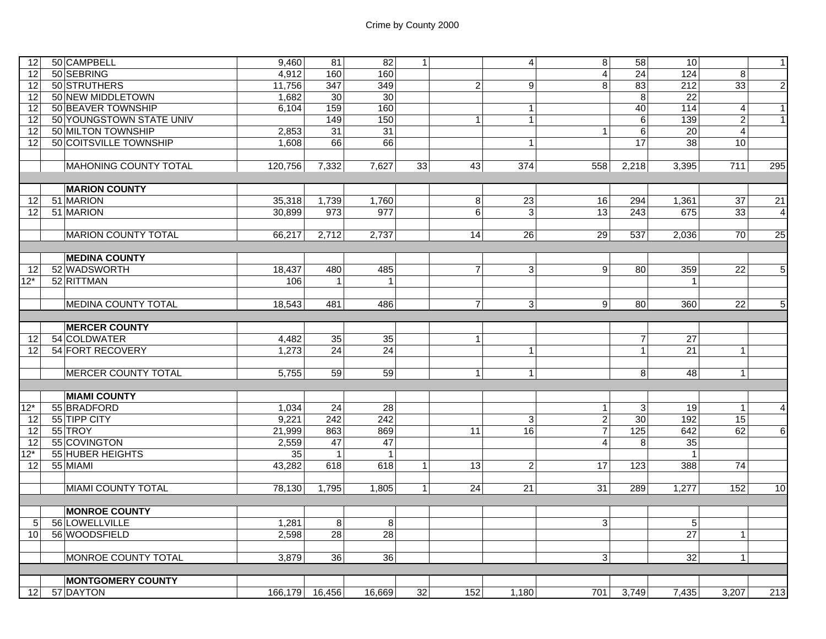| 12                | 50 CAMPBELL                | 9,460           | 81              | 82               | $\mathbf{1}$ |                | $\overline{4}$  | $\overline{8}$          | 58               | 10              |                         | $\mathbf{1}$    |
|-------------------|----------------------------|-----------------|-----------------|------------------|--------------|----------------|-----------------|-------------------------|------------------|-----------------|-------------------------|-----------------|
| 12                | 50 SEBRING                 | 4,912           | 160             | 160              |              |                |                 | $\overline{\mathbf{A}}$ | 24               | 124             | 8                       |                 |
| $\overline{12}$   | 50 STRUTHERS               | 11,756          | 347             | 349              |              | $\overline{c}$ | $\overline{9}$  | 8                       | 83               | 212             | 33                      | $\overline{2}$  |
| $\overline{12}$   | 50 NEW MIDDLETOWN          | 1,682           | 30 <sup>°</sup> | 30               |              |                |                 |                         | $\overline{8}$   | $\overline{22}$ |                         |                 |
|                   |                            |                 |                 |                  |              |                |                 |                         |                  |                 |                         |                 |
| 12                | 50 BEAVER TOWNSHIP         | 6,104           | 159             | 160              |              |                | $\mathbf{1}$    |                         | 40               | 114             | $\overline{\mathbf{4}}$ | 1               |
| $\overline{12}$   | 50 YOUNGSTOWN STATE UNIV   |                 | 149             | 150              |              | $\overline{1}$ | $\mathbf{1}$    |                         | $\,6$            | 139             | $\overline{2}$          | $\mathbf{1}$    |
| 12                | 50 MILTON TOWNSHIP         | 2.853           | $\overline{31}$ | $\overline{31}$  |              |                |                 | $\mathbf{1}$            | $6\phantom{a}$   | $\overline{20}$ | $\overline{4}$          |                 |
| 12                | 50 COITSVILLE TOWNSHIP     | 1.608           | 66              | 66               |              |                | $\mathbf{1}$    |                         | 17               | 38              | 10                      |                 |
|                   |                            |                 |                 |                  |              |                |                 |                         |                  |                 |                         |                 |
|                   | MAHONING COUNTY TOTAL      | 120,756         | 7,332           | 7,627            | 33           | 43             | 374             | 558                     | 2,218            | 3,395           | 711                     | 295             |
|                   |                            |                 |                 |                  |              |                |                 |                         |                  |                 |                         |                 |
|                   | <b>MARION COUNTY</b>       |                 |                 |                  |              |                |                 |                         |                  |                 |                         |                 |
| 12                | 51 MARION                  | 35,318          | 1,739           | 1,760            |              | $\bf 8$        | $\overline{23}$ | 16                      | 294              | 1,361           | $\overline{37}$         | $\overline{21}$ |
| 12                | 51 MARION                  | 30,899          | 973             | $\overline{977}$ |              | 6              | $\mathbf{3}$    | $\overline{13}$         | 243              | 675             | $\overline{33}$         | $\overline{4}$  |
|                   |                            |                 |                 |                  |              |                |                 |                         |                  |                 |                         |                 |
|                   | <b>MARION COUNTY TOTAL</b> | 66,217          | 2,712           | 2,737            |              | 14             | 26              | 29                      | 537              | 2,036           | 70                      | 25              |
|                   |                            |                 |                 |                  |              |                |                 |                         |                  |                 |                         |                 |
|                   | <b>MEDINA COUNTY</b>       |                 |                 |                  |              |                |                 |                         |                  |                 |                         |                 |
|                   | 52 WADSWORTH               |                 | 480             | 485              |              |                |                 | 9 <sup>1</sup>          |                  |                 | $\overline{22}$         |                 |
| 12                |                            | 18.437          |                 |                  |              | $\overline{7}$ | $\mathbf{3}$    |                         | 80               | 359             |                         | $\overline{5}$  |
| $12*$             | 52 RITTMAN                 | 106             | $\mathbf{1}$    | $\mathbf 1$      |              |                |                 |                         |                  | $\mathbf{1}$    |                         |                 |
|                   |                            |                 |                 |                  |              |                |                 |                         |                  |                 |                         |                 |
|                   | <b>MEDINA COUNTY TOTAL</b> | 18,543          | 481             | 486              |              | $\overline{7}$ | $\mathbf{3}$    | 9                       | 80               | 360             | $\overline{22}$         | $\overline{5}$  |
|                   |                            |                 |                 |                  |              |                |                 |                         |                  |                 |                         |                 |
|                   | <b>MERCER COUNTY</b>       |                 |                 |                  |              |                |                 |                         |                  |                 |                         |                 |
| 12                | 54 COLDWATER               | 4,482           | 35              | 35               |              | $\mathbf{1}$   |                 |                         | $\overline{7}$   | $\overline{27}$ |                         |                 |
| 12                | <b>54 FORT RECOVERY</b>    | 1,273           | 24              | 24               |              |                | $\overline{1}$  |                         | $\mathbf{1}$     | 21              | $\vert$                 |                 |
|                   |                            |                 |                 |                  |              |                |                 |                         |                  |                 |                         |                 |
|                   | <b>MERCER COUNTY TOTAL</b> | 5,755           | 59              | 59               |              | $\mathbf{1}$   | $\mathbf{1}$    |                         | 8                | 48              | $\vert$ 1               |                 |
|                   |                            |                 |                 |                  |              |                |                 |                         |                  |                 |                         |                 |
|                   | <b>MIAMI COUNTY</b>        |                 |                 |                  |              |                |                 |                         |                  |                 |                         |                 |
| $12*$             | 55 BRADFORD                | 1,034           | 24              | 28               |              |                |                 | $\mathbf{1}$            | $\mathbf{3}$     | 19              | $\mathbf{1}$            | $\overline{4}$  |
|                   | 55 TIPP CITY               | 9,221           | 242             | 242              |              |                |                 |                         |                  |                 | 15                      |                 |
| 12                |                            |                 |                 |                  |              |                | 3               | $\overline{c}$          | 30 <sup>°</sup>  | 192             |                         |                 |
| 12                | 55 TROY                    | 21,999          | 863             | 869              |              | 11             | 16              | $\overline{7}$          | $\overline{125}$ | 642             | 62                      | $\overline{6}$  |
| 12                | 55 COVINGTON               | 2,559           | 47              | 47               |              |                |                 | $\overline{4}$          | 8                | 35              |                         |                 |
| $\overline{12^*}$ | 55 HUBER HEIGHTS           | $\overline{35}$ | $\mathbf{1}$    | $\overline{1}$   |              |                |                 |                         |                  | $\overline{1}$  |                         |                 |
| 12                | 55 MIAMI                   | 43,282          | 618             | 618              | $\mathbf{1}$ | 13             | $\overline{2}$  | $\overline{17}$         | 123              | 388             | 74                      |                 |
|                   |                            |                 |                 |                  |              |                |                 |                         |                  |                 |                         |                 |
|                   | <b>MIAMI COUNTY TOTAL</b>  | 78,130          | 1,795           | 1,805            | $\vert$      | 24             | 21              | 31                      | 289              | 1,277           | 152                     | 10              |
|                   |                            |                 |                 |                  |              |                |                 |                         |                  |                 |                         |                 |
|                   | <b>MONROE COUNTY</b>       |                 |                 |                  |              |                |                 |                         |                  |                 |                         |                 |
| 5                 | 56 LOWELLVILLE             | 1,281           | 8 <sup>1</sup>  | 8                |              |                |                 | $\mathbf{3}$            |                  | 5               |                         |                 |
| 10 <sup>1</sup>   | 56 WOODSFIELD              | 2,598           | 28              | 28               |              |                |                 |                         |                  | $\overline{27}$ | $\mathbf{1}$            |                 |
|                   |                            |                 |                 |                  |              |                |                 |                         |                  |                 |                         |                 |
|                   | MONROE COUNTY TOTAL        | 3,879           | 36              | $\overline{36}$  |              |                |                 | 3                       |                  | $\overline{32}$ | $\vert$ 1               |                 |
|                   |                            |                 |                 |                  |              |                |                 |                         |                  |                 |                         |                 |
|                   |                            |                 |                 |                  |              |                |                 |                         |                  |                 |                         |                 |
|                   | <b>MONTGOMERY COUNTY</b>   |                 |                 |                  |              |                |                 |                         |                  |                 |                         |                 |
| 12                | 57 DAYTON                  | 166,179 16,456  |                 | 16,669           | 32           | 152            | 1,180           | 701                     | 3,749            | 7,435           | 3,207                   | 213             |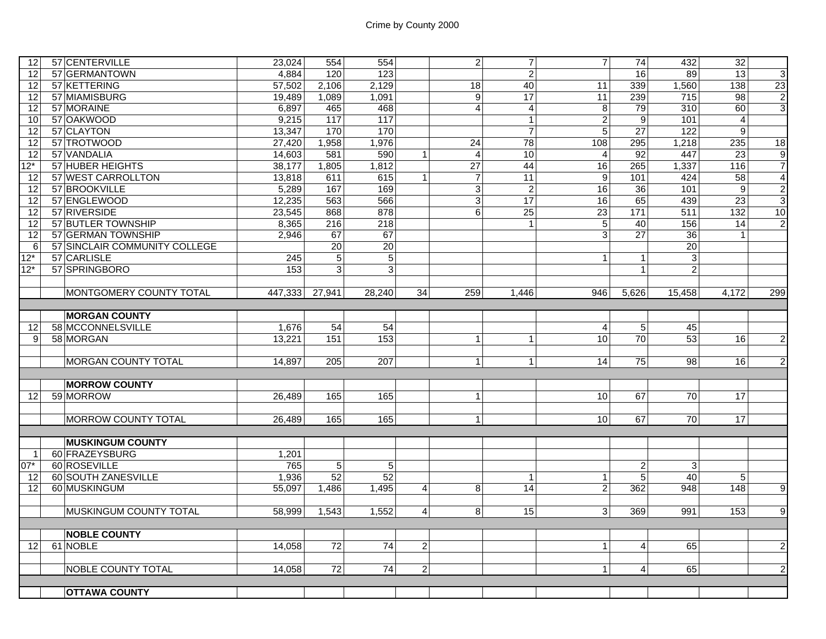| 12    | 57 CENTERVILLE                | 23,024  | 554             | 554              |                | $\overline{2}$            | $\overline{7}$  | $\overline{7}$       | 74              | 432             | 32               |                |
|-------|-------------------------------|---------|-----------------|------------------|----------------|---------------------------|-----------------|----------------------|-----------------|-----------------|------------------|----------------|
| 12    | 57 GERMANTOWN                 | 4.884   | 120             | 123              |                |                           | $\overline{2}$  |                      | 16              | 89              | 13               | G              |
| 12    | 57 KETTERING                  | 57,502  | 2,106           | 2,129            |                | 18                        | 40              | 11                   | 339             | 1,560           | 138              | 23             |
| 12    | 57 MIAMISBURG                 | 19,489  | 1,089           | 1,091            |                | $\overline{9}$            | 17              | 11                   | 239             | 715             | 98               | $\overline{2}$ |
| 12    | 57 MORAINE                    | 6.897   | 465             | 468              |                | $\overline{4}$            | $\overline{4}$  | 8                    | 79              | 310             | 60               | $\overline{3}$ |
| 10    | 57 OAKWOOD                    | 9,215   | 117             | 117              |                |                           | $\overline{1}$  | $\overline{a}$       | 9               | 101             | $\overline{4}$   |                |
| 12    | 57 CLAYTON                    | 13,347  | 170             | 170              |                |                           | $\overline{7}$  | $5\overline{)}$      | $\overline{27}$ | 122             | 9                |                |
| 12    | 57 TROTWOOD                   | 27,420  | 1,958           | 1,976            |                | 24                        | 78              | 108                  | 295             | 1,218           | 235              | 18             |
| 12    | 57 VANDALIA                   | 14,603  | 581             | 590              | $\mathbf{1}$   | $\overline{4}$            | 10              | $\overline{4}$       | 92              | 447             | $\overline{23}$  | $\overline{9}$ |
| $12*$ | 57 HUBER HEIGHTS              | 38,177  | 1,805           | 1,812            |                | $\overline{27}$           | 44              | 16                   | 265             | 1,337           | 116              | $\overline{7}$ |
| 12    | 57 WEST CARROLLTON            | 13.818  | 611             | 615              | $\mathbf{1}$   | $\overline{7}$            | 11              | 9                    | 101             | 424             | 58               | $\overline{4}$ |
| 12    | 57 BROOKVILLE                 | 5,289   | 167             | 169              |                | $\ensuremath{\mathsf{3}}$ | $\overline{2}$  | 16                   | 36              | 101             | $\boldsymbol{9}$ | $\overline{2}$ |
| 12    | 57 ENGLEWOOD                  | 12,235  | 563             | 566              |                | $\ensuremath{\mathsf{3}}$ | $\overline{17}$ | 16                   | 65              | 439             | 23               | $\overline{3}$ |
| 12    | 57 RIVERSIDE                  | 23,545  | 868             | 878              |                | 6                         | $\overline{25}$ | 23                   | 171             | 511             | $\frac{1}{132}$  | 10             |
| 12    | 57 BUTLER TOWNSHIP            | 8,365   | 216             | $\overline{218}$ |                |                           | $\mathbf{1}$    | 5                    | 40              | 156             | 14               | $\overline{2}$ |
| 12    | 57 GERMAN TOWNSHIP            | 2.946   | 67              | 67               |                |                           |                 | 3                    | $\overline{27}$ | $\overline{36}$ | $\overline{1}$   |                |
| 6     | 57 SINCLAIR COMMUNITY COLLEGE |         | 20              | 20               |                |                           |                 |                      |                 | 20              |                  |                |
| $12*$ | 57 CARLISLE                   | 245     | $\overline{5}$  | $\sqrt{5}$       |                |                           |                 | $\mathbf{1}$         | $\mathbf{1}$    | 3               |                  |                |
| $12*$ | 57 SPRINGBORO                 | 153     | $\overline{3}$  | $\mathbf{3}$     |                |                           |                 |                      | $\mathbf{1}$    | $\overline{2}$  |                  |                |
|       |                               |         |                 |                  |                |                           |                 |                      |                 |                 |                  |                |
|       | MONTGOMERY COUNTY TOTAL       | 447,333 | 27,941          | 28,240           | 34             | 259                       | 1,446           | 946                  | 5,626           | 15,458          | 4,172            | 299            |
|       |                               |         |                 |                  |                |                           |                 |                      |                 |                 |                  |                |
|       | <b>MORGAN COUNTY</b>          |         |                 |                  |                |                           |                 |                      |                 |                 |                  |                |
| 12    | 58 MCCONNELSVILLE             | 1,676   | 54              | 54               |                |                           |                 | $\overline{4}$       | 5 <sub>5</sub>  | 45              |                  |                |
| 9     | 58 MORGAN                     | 13,221  | 151             | $\frac{153}{ }$  |                | $\mathbf{1}$              | $\overline{1}$  | 10                   | 70              | 53              | 16               | $\mathbf{2}$   |
|       |                               |         |                 |                  |                |                           |                 |                      |                 |                 |                  |                |
|       | <b>MORGAN COUNTY TOTAL</b>    | 14,897  | 205             | 207              |                | $\mathbf{1}$              | $\mathbf{1}$    | 14                   | 75              | 98              | 16 <sup>1</sup>  | $\overline{2}$ |
|       |                               |         |                 |                  |                |                           |                 |                      |                 |                 |                  |                |
|       | <b>MORROW COUNTY</b>          |         |                 |                  |                |                           |                 |                      |                 |                 |                  |                |
| 12    | 59 MORROW                     | 26,489  | 165             | 165              |                | $\mathbf{1}$              |                 | 10 <sup>1</sup>      | 67              | 70              | 17               |                |
|       |                               |         |                 |                  |                |                           |                 |                      |                 |                 |                  |                |
|       | <b>MORROW COUNTY TOTAL</b>    | 26,489  | 165             | 165              |                | $\mathbf{1}$              |                 | 10                   | 67              | 70              | 17               |                |
|       |                               |         |                 |                  |                |                           |                 |                      |                 |                 |                  |                |
|       | <b>MUSKINGUM COUNTY</b>       |         |                 |                  |                |                           |                 |                      |                 |                 |                  |                |
| -1    | 60 FRAZEYSBURG                | 1,201   |                 |                  |                |                           |                 |                      |                 |                 |                  |                |
| $07*$ | 60 ROSEVILLE                  | 765     | 5 <sup>1</sup>  | 5                |                |                           |                 |                      | $\overline{2}$  | 3               |                  |                |
| 12    |                               |         |                 |                  |                |                           |                 |                      |                 |                 |                  |                |
|       | 60 SOUTH ZANESVILLE           | 1,936   | 52              | 52               |                |                           | $\mathbf{1}$    | $\mathbf{1}$         | $\overline{5}$  | 40              | $5\overline{)}$  |                |
| 12    | 60 MUSKINGUM                  | 55,097  | 1,486           | 1,495            | $\overline{4}$ | 8                         | 14              | $\overline{2}$       | 362             | 948             | 148              | 9              |
|       |                               |         |                 |                  |                |                           |                 |                      |                 |                 |                  |                |
|       | <b>MUSKINGUM COUNTY TOTAL</b> | 58.999  | 1.543           | 1.552            | $\overline{4}$ | 8                         | 15              | $\mathbf{3}$         | 369             | 991             | 153              | $\overline{9}$ |
|       |                               |         |                 |                  |                |                           |                 |                      |                 |                 |                  |                |
|       | <b>NOBLE COUNTY</b>           |         |                 |                  |                |                           |                 |                      |                 |                 |                  |                |
| 12    | 61 NOBLE                      | 14,058  | 72              | 74               | $\overline{c}$ |                           |                 | $\blacktriangleleft$ | $\overline{4}$  | 65              |                  | $\overline{2}$ |
|       |                               |         |                 |                  |                |                           |                 |                      |                 |                 |                  |                |
|       | <b>NOBLE COUNTY TOTAL</b>     | 14,058  | $\overline{72}$ | 74               | $\overline{2}$ |                           |                 | $\mathbf{1}$         | $\overline{4}$  | 65              |                  | $\overline{2}$ |
|       | <b>OTTAWA COUNTY</b>          |         |                 |                  |                |                           |                 |                      |                 |                 |                  |                |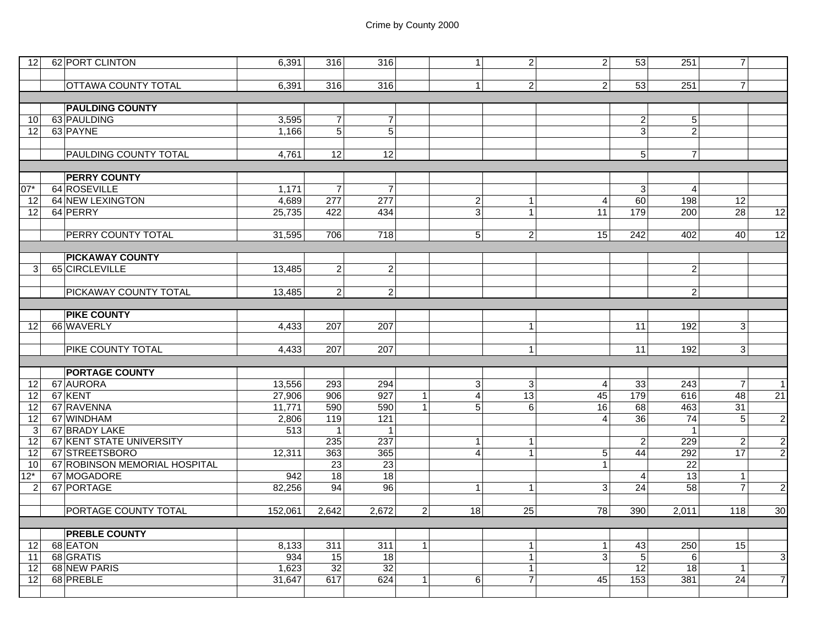| 12 <sub>l</sub> | 62 PORT CLINTON               | 6,391        | 316              | 316                 |                | $\mathbf{1}$   | 2 <sub>1</sub>               | $\overline{2}$ | 53                   | 251              | $\overline{7}$  |                |
|-----------------|-------------------------------|--------------|------------------|---------------------|----------------|----------------|------------------------------|----------------|----------------------|------------------|-----------------|----------------|
|                 |                               |              |                  |                     |                |                |                              |                |                      |                  |                 |                |
|                 | <b>OTTAWA COUNTY TOTAL</b>    | 6.391        | 316              | 316                 |                | $\mathbf{1}$   | $\overline{2}$               | $\overline{2}$ | 53                   | 251              | $\overline{7}$  |                |
|                 |                               |              |                  |                     |                |                |                              |                |                      |                  |                 |                |
|                 | <b>PAULDING COUNTY</b>        |              |                  |                     |                |                |                              |                |                      |                  |                 |                |
| 10 <sup>1</sup> | 63 PAULDING                   | 3,595        | $\overline{7}$   | $\overline{7}$      |                |                |                              |                | $\overline{a}$       | 5                |                 |                |
| $\overline{12}$ | 63 PAYNE                      | 1,166        | $\overline{5}$   | $\overline{5}$      |                |                |                              |                | ვ                    | $\overline{c}$   |                 |                |
|                 |                               |              |                  |                     |                |                |                              |                |                      |                  |                 |                |
|                 | <b>PAULDING COUNTY TOTAL</b>  | 4,761        | 12               | 12                  |                |                |                              |                | 5 <sup>1</sup>       | $\overline{7}$   |                 |                |
|                 |                               |              |                  |                     |                |                |                              |                |                      |                  |                 |                |
|                 | <b>PERRY COUNTY</b>           |              |                  |                     |                |                |                              |                |                      |                  |                 |                |
| $07*$           | 64 ROSEVILLE                  | 1,171        | $\overline{7}$   | $\overline{7}$      |                |                |                              |                | 3                    | $\overline{4}$   |                 |                |
| 12              | <b>64 NEW LEXINGTON</b>       | 4,689        | $\overline{277}$ | $\overline{277}$    |                | $\overline{c}$ | $\overline{1}$               | $\overline{4}$ | $\overline{60}$      | 198              | 12              |                |
| 12              | 64 PERRY                      | 25,735       | 422              | 434                 |                | $\mathfrak{S}$ | $\mathbf{1}$                 | 11             | 179                  | 200              | 28              | 12             |
|                 | <b>PERRY COUNTY TOTAL</b>     | 31,595       |                  | 718                 |                | 5              | 2 <sup>1</sup>               | 15             | 242                  |                  |                 |                |
|                 |                               |              | 706              |                     |                |                |                              |                |                      | 402              | 40              | 12             |
|                 | <b>PICKAWAY COUNTY</b>        |              |                  |                     |                |                |                              |                |                      |                  |                 |                |
| 3               | 65 CIRCLEVILLE                | 13,485       | $\overline{a}$   | $\vert$ 2           |                |                |                              |                |                      | $\overline{c}$   |                 |                |
|                 |                               |              |                  |                     |                |                |                              |                |                      |                  |                 |                |
|                 | PICKAWAY COUNTY TOTAL         | 13,485       | $\overline{2}$   | $\overline{2}$      |                |                |                              |                |                      | $\overline{2}$   |                 |                |
|                 |                               |              |                  |                     |                |                |                              |                |                      |                  |                 |                |
|                 | <b>PIKE COUNTY</b>            |              |                  |                     |                |                |                              |                |                      |                  |                 |                |
| 12              | 66 WAVERLY                    | 4,433        | 207              | $\overline{207}$    |                |                | $\overline{1}$               |                | $\overline{11}$      | 192              | $\overline{3}$  |                |
|                 |                               |              |                  |                     |                |                |                              |                |                      |                  |                 |                |
|                 | <b>PIKE COUNTY TOTAL</b>      | 4,433        | 207              | 207                 |                |                | $\mathbf{1}$                 |                | 11                   | 192              | 3 <sup>1</sup>  |                |
|                 |                               |              |                  |                     |                |                |                              |                |                      |                  |                 |                |
|                 | <b>PORTAGE COUNTY</b>         |              |                  |                     |                |                |                              |                |                      |                  |                 |                |
| 12              | 67 AURORA                     | 13,556       | 293              | 294                 |                | $\mathbf{3}$   | 3 <sup>l</sup>               | $\overline{4}$ | 33                   | $\overline{243}$ | $\overline{7}$  | 1 <sup>1</sup> |
| 12              | 67 KENT                       | 27,906       | 906              | 927                 | $\mathbf{1}$   | $\overline{4}$ | $\overline{13}$              | 45             | 179                  | 616              | 48              | 21             |
| $\overline{12}$ | 67 RAVENNA                    | 11,771       | 590              | 590                 | $\mathbf{1}$   | $\overline{5}$ | - 6 I                        | 16             | 68                   | 463              | 31              |                |
| 12              | 67 WINDHAM                    | 2,806        | 119              | $\frac{1}{121}$     |                |                |                              | $\overline{4}$ | 36                   | $\overline{74}$  | 5               | $\overline{2}$ |
| 3               | 67 BRADY LAKE                 | 513          | $\mathbf{1}$     | $\mathbf{1}$        |                |                |                              |                |                      | $\mathbf{1}$     |                 |                |
| $\overline{12}$ | 67 KENT STATE UNIVERSITY      |              | 235              | 237                 |                | $\mathbf{1}$   | $\mathbf{1}$                 |                | $\overline{2}$       | 229              | $\overline{2}$  | $\mathbf{2}$   |
| 12              | 67 STREETSBORO                | 12,311       | 363              | 365                 |                | $\overline{4}$ | $\mathbf{1}$                 | 5              | 44                   | 292              | 17              | $\overline{2}$ |
| 10              | 67 ROBINSON MEMORIAL HOSPITAL |              | 23               | 23                  |                |                |                              | $\mathbf{1}$   |                      | 22               |                 |                |
| $12*$           | 67 MOGADORE                   | 942          | 18               | 18                  |                |                |                              |                | $\overline{4}$       | 13               | $\mathbf{1}$    |                |
| $\overline{2}$  | 67 PORTAGE                    | 82,256       | 94               | 96                  |                | $\mathbf{1}$   | $\overline{1}$               | $\mathbf{3}$   | 24                   | 58               | $\overline{7}$  | $\overline{2}$ |
|                 |                               |              |                  |                     |                |                |                              |                |                      |                  |                 |                |
|                 | <b>PORTAGE COUNTY TOTAL</b>   | 152,061      | 2,642            | 2,672               | $\overline{2}$ | 18             | 25                           | 78             | 390                  | 2,011            | 118             | 30             |
|                 |                               |              |                  |                     |                |                |                              |                |                      |                  |                 |                |
|                 | <b>PREBLE COUNTY</b>          |              |                  |                     |                |                |                              |                |                      |                  |                 |                |
| 12              | 68 EATON<br>68 GRATIS         | 8,133        | 311              | 311                 | $\mathbf{1}$   |                | $\overline{1}$               | $\mathbf{1}$   | 43                   | 250              | 15              |                |
| 11              | 68 NEW PARIS                  | 934<br>1,623 | 15<br>32         | $\frac{1}{8}$<br>32 |                |                | $\mathbf{1}$<br>$\mathbf{1}$ | ω              | $\overline{5}$<br>12 | 6<br>18          | $\mathbf{1}$    | G              |
| 12<br>12        | 68 PREBLE                     | 31,647       | 617              | 624                 | 1              | 6              | $\overline{7}$               | 45             | 153                  | 381              | $\overline{24}$ | $\overline{7}$ |
|                 |                               |              |                  |                     |                |                |                              |                |                      |                  |                 |                |
|                 |                               |              |                  |                     |                |                |                              |                |                      |                  |                 |                |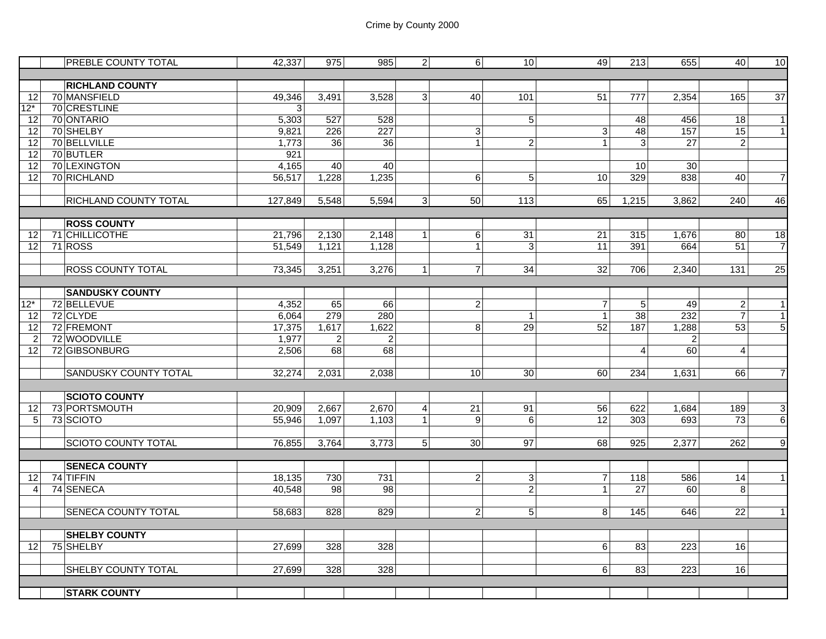|                | <b>PREBLE COUNTY TOTAL</b>   | 42,337       | 975                     | 985             | $\overline{2}$   | $6 \overline{6}$ | 10             | 49              | 213              | 655             | 40               | 10                       |
|----------------|------------------------------|--------------|-------------------------|-----------------|------------------|------------------|----------------|-----------------|------------------|-----------------|------------------|--------------------------|
|                |                              |              |                         |                 |                  |                  |                |                 |                  |                 |                  |                          |
|                | <b>RICHLAND COUNTY</b>       |              |                         |                 |                  |                  |                |                 |                  |                 |                  |                          |
| 12             | 70 MANSFIELD                 | 49,346       | 3,491                   | 3,528           | 3                | 40               | 101            | $\overline{51}$ | $\overline{777}$ | 2,354           | 165              | 37                       |
| $12*$          | 70 CRESTLINE                 | $\mathbf{3}$ |                         |                 |                  |                  |                |                 |                  |                 |                  |                          |
| 12             | 70 ONTARIO                   | 5,303        | 527                     | 528             |                  |                  | 5              |                 | 48               | 456             | 18               | $\mathbf{1}$             |
| 12             | 70 SHELBY                    | 9,821        | 226                     | 227             |                  | 3                |                | 3               | 48               | 157             | 15               | $\mathbf{1}$             |
| 12             | 70 BELLVILLE                 | 1,773        | 36                      | $\overline{36}$ |                  | $\mathbf{1}$     | $\overline{2}$ |                 | $\overline{3}$   | $\overline{27}$ | $\overline{c}$   |                          |
| 12             | 70 BUTLER                    | 921          |                         |                 |                  |                  |                |                 |                  |                 |                  |                          |
| 12             | 70 LEXINGTON                 | 4,165        | 40                      | 40              |                  |                  |                |                 | 10               | 30              |                  |                          |
| 12             | 70 RICHLAND                  | 56,517       | 1,228                   | 1,235           |                  | 6                | 5              | 10              | 329              | 838             | 40               | $\overline{7}$           |
|                |                              |              |                         |                 |                  |                  |                |                 |                  |                 |                  |                          |
|                | <b>RICHLAND COUNTY TOTAL</b> | 127,849      | 5,548                   | 5,594           | 3 <sup>1</sup>   | 50               | 113            | 65              | 1,215            | 3,862           | 240              | 46                       |
|                |                              |              |                         |                 |                  |                  |                |                 |                  |                 |                  |                          |
|                | <b>ROSS COUNTY</b>           |              |                         |                 |                  |                  |                |                 |                  |                 |                  |                          |
| 12             | 71 CHILLICOTHE               | 21,796       | 2,130                   | 2,148           | $\mathbf{1}$     | $\,6$            | 31             | 21              | 315              | 1,676           | 80               | 18                       |
| 12             | 71 ROSS                      | 51,549       | 1,121                   | 1,128           |                  | $\vert$          | 3              | 11              | 391              | 664             | 51               | $\overline{\mathcal{I}}$ |
|                |                              |              |                         |                 |                  |                  |                |                 |                  |                 |                  |                          |
|                | <b>ROSS COUNTY TOTAL</b>     | 73,345       | 3,251                   | 3,276           | $\mathbf{1}$     | $\overline{7}$   | 34             | 32              | 706              | 2,340           | $\overline{131}$ | $\overline{25}$          |
|                | <b>SANDUSKY COUNTY</b>       |              |                         |                 |                  |                  |                |                 |                  |                 |                  |                          |
| $12*$          | 72 BELLEVUE                  | 4,352        | 65                      | 66              |                  | $\mathbf{2}$     |                | $\overline{7}$  | 5                | 49              | $\overline{2}$   | $\mathbf{1}$             |
| 12             | 72 CLYDE                     | 6,064        | 279                     | 280             |                  |                  | $\mathbf{1}$   | $\overline{1}$  | 38               | 232             | $\overline{7}$   | $\mathbf{1}$             |
| 12             | 72 FREMONT                   | 17,375       | 1,617                   | 1,622           |                  | 8                | 29             | 52              | 187              | 1,288           | $\overline{53}$  | $\overline{5}$           |
| $\overline{2}$ | 72 WOODVILLE                 | 1,977        | $\overline{\mathbf{c}}$ | $\overline{c}$  |                  |                  |                |                 |                  | $\overline{c}$  |                  |                          |
| 12             | 72 GIBSONBURG                | 2,506        | 68                      | 68              |                  |                  |                |                 | 4                | 60              | $\overline{4}$   |                          |
|                |                              |              |                         |                 |                  |                  |                |                 |                  |                 |                  |                          |
|                | SANDUSKY COUNTY TOTAL        | 32,274       | 2,031                   | 2,038           |                  | 10 <sup>1</sup>  | 30             | 60              | 234              | 1,631           | 66               | $\overline{\mathcal{I}}$ |
|                |                              |              |                         |                 |                  |                  |                |                 |                  |                 |                  |                          |
|                | <b>SCIOTO COUNTY</b>         |              |                         |                 |                  |                  |                |                 |                  |                 |                  |                          |
| 12             | 73 PORTSMOUTH                | 20,909       | 2,667                   | 2,670           | $\boldsymbol{4}$ | 21               | 91             | 56              | 622              | 1,684           | 189              |                          |
| 5              | 73 SCIOTO                    | 55,946       | 1,097                   | 1,103           | $\mathbf{1}$     | 9                | 6              | 12              | 303              | 693             | 73               | $\frac{3}{6}$            |
|                |                              |              |                         |                 |                  |                  |                |                 |                  |                 |                  |                          |
|                | <b>SCIOTO COUNTY TOTAL</b>   | 76,855       | 3,764                   | 3,773           | 5 <sup>1</sup>   | 30               | 97             | 68              | 925              | 2,377           | 262              | $\overline{9}$           |
|                |                              |              |                         |                 |                  |                  |                |                 |                  |                 |                  |                          |
|                | <b>SENECA COUNTY</b>         |              |                         |                 |                  |                  |                |                 |                  |                 |                  |                          |
| 12             | 74 TIFFIN                    | 18,135       | 730                     | 731             |                  | $\mathbf{2}$     | 3              | $\overline{7}$  | 118              | 586             | 14               | $\mathbf{1}$             |
| $\overline{4}$ | 74 SENECA                    | 40,548       | $\overline{98}$         | $\overline{98}$ |                  |                  | $\overline{c}$ | 1               | 27               | 60              | 8                |                          |
|                |                              |              |                         |                 |                  |                  |                |                 |                  |                 |                  |                          |
|                | SENECA COUNTY TOTAL          | 58,683       | 828                     | 829             |                  | $\overline{c}$   | 5              | 8               | 145              | 646             | 22               | $\mathbf{1}$             |
|                |                              |              |                         |                 |                  |                  |                |                 |                  |                 |                  |                          |
|                | <b>SHELBY COUNTY</b>         |              |                         |                 |                  |                  |                |                 |                  |                 |                  |                          |
| 12             | 75 SHELBY                    | 27,699       | 328                     | 328             |                  |                  |                | 6               | 83               | 223             | 16               |                          |
|                |                              |              |                         |                 |                  |                  |                |                 |                  |                 |                  |                          |
|                | SHELBY COUNTY TOTAL          | 27,699       | 328                     | 328             |                  |                  |                | 6               | 83               | 223             | 16               |                          |
|                | <b>STARK COUNTY</b>          |              |                         |                 |                  |                  |                |                 |                  |                 |                  |                          |
|                |                              |              |                         |                 |                  |                  |                |                 |                  |                 |                  |                          |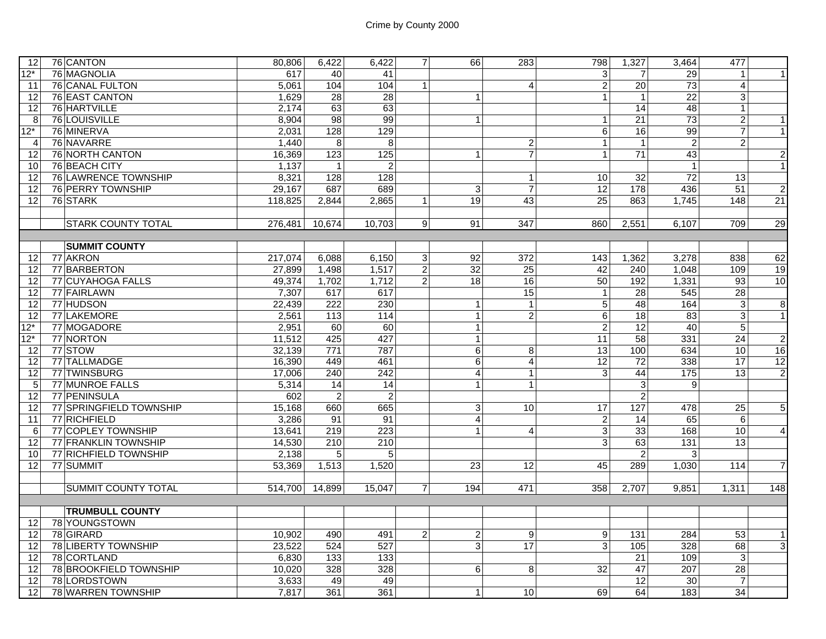| 12                | 76 CANTON                        | 80,806              | 6,422            | 6,422            | $\overline{7}$   | 66                      | 283             | 798             | 1,327            | 3,464           | 477              |                |
|-------------------|----------------------------------|---------------------|------------------|------------------|------------------|-------------------------|-----------------|-----------------|------------------|-----------------|------------------|----------------|
| $12*$             | 76 MAGNOLIA                      | 617                 | 40               | 41               |                  |                         |                 | $\overline{3}$  | $\overline{7}$   | 29              | $\mathbf{1}$     |                |
| 11                | 76 CANAL FULTON                  | 5,061               | 104              | 104              | $\mathbf{1}$     |                         | $\overline{4}$  | $\overline{a}$  | 20               | 73              | $\overline{4}$   |                |
| 12                | 76 EAST CANTON                   | 1.629               | 28               | 28               |                  | $\mathbf{1}$            |                 | $\mathbf{1}$    | $\mathbf{1}$     | $\overline{22}$ | $\mathbf{3}$     |                |
| 12                | 76 HARTVILLE                     | 2,174               | 63               | 63               |                  |                         |                 |                 | 14               | 48              | $\mathbf{1}$     |                |
| 8                 | 76 LOUISVILLE                    | 8,904               | 98               | 99               |                  | $\mathbf{1}$            |                 | $\mathbf{1}$    | $\overline{21}$  | 73              | $\overline{2}$   | 1              |
| $12*$             | 76 MINERVA                       | 2,031               | 128              | 129              |                  |                         |                 | $\,6\,$         | 16               | 99              | $\overline{7}$   | $\overline{1}$ |
| 4                 | 76 NAVARRE                       | 1,440               | 8                | 8                |                  |                         | $\overline{c}$  | $\mathbf{1}$    | $\mathbf{1}$     | $\overline{c}$  | $\overline{2}$   |                |
| 12                | 76 NORTH CANTON                  | 16,369              | $\overline{123}$ | $\frac{1}{25}$   |                  | $\overline{1}$          | $\overline{7}$  | $\mathbf{1}$    | 71               | 43              |                  | $\mathbf{2}$   |
| 10                | 76 BEACH CITY                    | 1,137               | $\vert$          | $\overline{c}$   |                  |                         |                 |                 |                  | $\overline{1}$  |                  | $\overline{1}$ |
| 12                | 76 LAWRENCE TOWNSHIP             | 8,321               | 128              | 128              |                  |                         | $\mathbf{1}$    | 10              | 32               | 72              | 13               |                |
| 12                | 76 PERRY TOWNSHIP                | 29,167              | 687              | 689              |                  | 3                       | $\overline{7}$  | 12              | 178              | 436             | $\overline{51}$  | $\mathbf{2}$   |
| 12                | 76 STARK                         | 118,825             | 2,844            | 2,865            | $\mathbf{1}$     | 19                      | 43              | 25              | 863              | 1,745           | 148              | 21             |
|                   |                                  |                     |                  |                  |                  |                         |                 |                 |                  |                 |                  |                |
|                   | <b>STARK COUNTY TOTAL</b>        | 276.481             | 10,674           | 10.703           | 9                | 91                      | 347             | 860             | 2.551            | 6,107           | 709              | 29             |
|                   |                                  |                     |                  |                  |                  |                         |                 |                 |                  |                 |                  |                |
| 12                | <b>SUMMIT COUNTY</b><br>77 AKRON | 217,074             | 6,088            | 6,150            | 3                | 92                      | 372             | 143             | 1,362            | 3,278           | 838              | 62             |
| 12                | 77 BARBERTON                     | $\overline{27,899}$ | 1,498            | 1,517            | $\boldsymbol{2}$ | $\overline{32}$         | $\overline{25}$ | 42              | 240              | 1,048           | 109              | 19             |
| 12                | 77 CUYAHOGA FALLS                | 49,374              | 1,702            | 1,712            | $\overline{c}$   | $\overline{18}$         | 16              | 50              | 192              | 1,331           | 93               | 10             |
| 12                | 77 FAIRLAWN                      | 7,307               | 617              | 617              |                  |                         | 15              | $\mathbf{1}$    | 28               | 545             | 28               |                |
| 12                | 77 HUDSON                        | 22,439              | $\overline{222}$ | 230              |                  | $\mathbf{1}$            | $\mathbf{1}$    | 5               | 48               | 164             | 3                | $\overline{8}$ |
| 12                | 77 LAKEMORE                      | 2,561               | 113              | 114              |                  | $\mathbf{1}$            | $\overline{2}$  | $6\phantom{a}$  | $\overline{18}$  | $\overline{83}$ | $\mathbf{3}$     | 1              |
| $\overline{12^*}$ | 77 MOGADORE                      | 2,951               | 60               | 60               |                  | $\overline{1}$          |                 | $\overline{2}$  | $\overline{12}$  | 40              | $5\overline{)}$  |                |
| $12*$             | 77 NORTON                        | 11,512              | 425              | 427              |                  | $\mathbf{1}$            |                 | $\overline{11}$ | 58               | 331             | $\overline{24}$  | $\overline{2}$ |
| $\overline{12}$   | 77 STOW                          | 32,139              | 771              | 787              |                  | $\overline{6}$          | 8               | 13              | 100              | 634             | 10               | 16             |
| 12                | 77 TALLMADGE                     | 16,390              | 449              | 461              |                  | $6\overline{6}$         | $\overline{4}$  | 12              | 72               | 338             | 17               | 12             |
| 12                | 77 TWINSBURG                     | 17,006              | 240              | 242              |                  | $\overline{4}$          | $\mathbf{1}$    | 3               | 44               | 175             | 13               | $\overline{2}$ |
| 5                 | 77 MUNROE FALLS                  | 5,314               | $\overline{14}$  | $\overline{14}$  |                  | $\mathbf{1}$            | $\mathbf 1$     |                 | $\overline{3}$   | 9               |                  |                |
| 12                | 77 PENINSULA                     | 602                 | $\overline{2}$   | $\overline{2}$   |                  |                         |                 |                 | $\overline{c}$   |                 |                  |                |
| 12                | 77 SPRINGFIELD TOWNSHIP          | 15,168              | 660              | 665              |                  | 3                       | 10              | 17              | $\overline{127}$ | 478             | $\overline{25}$  | $\mathbf 5$    |
| 11                | 77 RICHFIELD                     | 3,286               | 91               | 91               |                  | $\overline{\mathbf{4}}$ |                 | $\overline{a}$  | 14               | 65              | $6 \overline{6}$ |                |
| 6                 | 77 COPLEY TOWNSHIP               | 13,641              | 219              | $\overline{223}$ |                  | $\mathbf{1}$            | $\overline{4}$  | ω               | 33               | 168             | 10               | $\overline{4}$ |
| 12                | 77 FRANKLIN TOWNSHIP             | 14,530              | 210              | 210              |                  |                         |                 | 3               | 63               | 131             | 13               |                |
| 10                | 77 RICHFIELD TOWNSHIP            | 2,138               | $\overline{5}$   | 5                |                  |                         |                 |                 | $\overline{2}$   | 3               |                  |                |
| 12                | 77 SUMMIT                        | 53,369              | 1,513            | 1,520            |                  | $\overline{23}$         | 12              | 45              | 289              | 1,030           | 114              | $\overline{7}$ |
|                   |                                  |                     |                  |                  |                  |                         |                 |                 |                  |                 |                  |                |
|                   | <b>SUMMIT COUNTY TOTAL</b>       | 514,700             | 14,899           | 15,047           | $\overline{7}$   | 194                     | 471             | 358             | 2,707            | 9,851           | 1,311            | 148            |
|                   |                                  |                     |                  |                  |                  |                         |                 |                 |                  |                 |                  |                |
|                   | <b>TRUMBULL COUNTY</b>           |                     |                  |                  |                  |                         |                 |                 |                  |                 |                  |                |
| 12                | 78 YOUNGSTOWN                    |                     |                  |                  |                  |                         |                 |                 |                  |                 |                  |                |
| 12                | 78 GIRARD                        | 10.902              | 490              | 491              | 2                | $\overline{c}$          | 9               | 9               | 131              | 284             | 53               | $\mathbf{1}$   |
| 12                | 78 LIBERTY TOWNSHIP              | 23,522              | 524              | 527              |                  | 3                       | 17              | 3               | 105              | 328             | 68               | $\overline{3}$ |
| 12                | 78 CORTLAND                      | 6,830               | 133              | $\overline{133}$ |                  |                         |                 |                 | $\overline{21}$  | 109             | $\mathbf{3}$     |                |
| 12                | 78 BROOKFIELD TOWNSHIP           | 10,020              | 328              | 328              |                  | 6                       | 8               | 32              | $\overline{47}$  | 207             | $\overline{28}$  |                |
| 12                | 78 LORDSTOWN                     | 3,633               | 49               | 49               |                  |                         |                 |                 | 12               | 30              | $\overline{7}$   |                |
| $\overline{12}$   | 78 WARREN TOWNSHIP               | 7,817               | 361              | 361              |                  | $\mathbf{1}$            | 10              | 69              | 64               | 183             | $\overline{34}$  |                |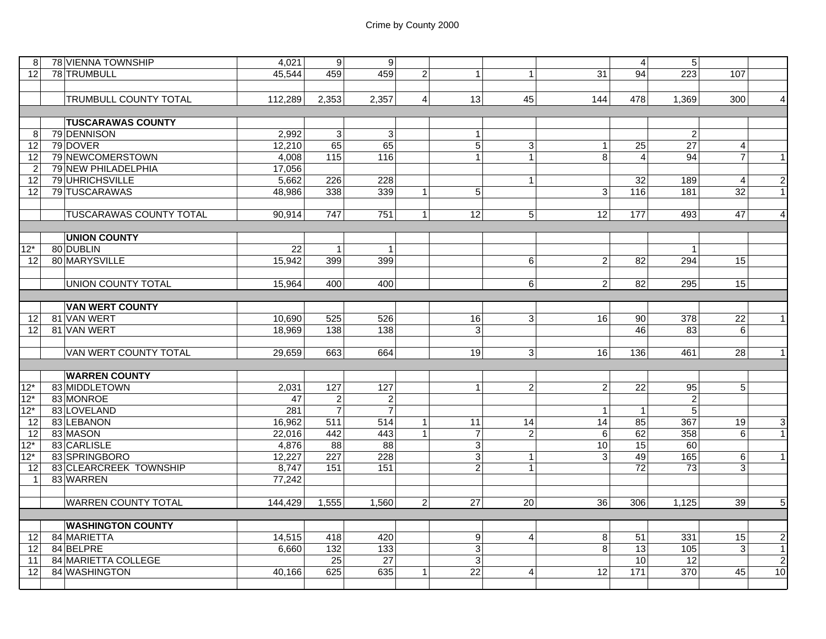| 81                | 78 VIENNA TOWNSHIP             | 4,021   | 9                | $\overline{9}$   |                |                 |                 |                                | $\overline{4}$    | 5               |                                    |
|-------------------|--------------------------------|---------|------------------|------------------|----------------|-----------------|-----------------|--------------------------------|-------------------|-----------------|------------------------------------|
| 12                | 78 TRUMBULL                    | 45,544  | 459              | 459              | $\overline{2}$ | $\mathbf{1}$    | $\mathbf{1}$    | 31                             | 94                | 223             | 107                                |
|                   |                                |         |                  |                  |                |                 |                 |                                |                   |                 |                                    |
|                   | <b>TRUMBULL COUNTY TOTAL</b>   | 112.289 | 2,353            | 2,357            | $\overline{4}$ | 13              | 45              | 144                            | 478               | 1,369           | 300<br>$\overline{4}$              |
|                   |                                |         |                  |                  |                |                 |                 |                                |                   |                 |                                    |
|                   | <b>TUSCARAWAS COUNTY</b>       |         |                  |                  |                |                 |                 |                                |                   |                 |                                    |
| 8                 | 79 DENNISON                    | 2,992   | 3 <sup>1</sup>   | $\mathbf{3}$     |                | $\mathbf{1}$    |                 |                                |                   | $\overline{2}$  |                                    |
| 12                | 79 DOVER                       | 12,210  | 65               | 65               |                | $\overline{5}$  | 3               |                                | $\overline{25}$   | $\overline{27}$ | $\overline{4}$                     |
|                   |                                |         | 115              | 116              |                |                 | $\mathbf{1}$    | $\mathbf{1}$<br>$\overline{8}$ | $\overline{4}$    |                 | $\overline{7}$                     |
| 12                | 79 NEWCOMERSTOWN               | 4,008   |                  |                  |                | $\mathbf{1}$    |                 |                                |                   | 94              | $\mathbf{1}$                       |
| $\overline{2}$    | 79 NEW PHILADELPHIA            | 17,056  |                  |                  |                |                 |                 |                                |                   |                 |                                    |
| 12                | 79 UHRICHSVILLE                | 5,662   | 226              | 228              |                |                 | $\mathbf 1$     |                                | 32                | 189             | $\overline{2}$<br>$\overline{4}$   |
| 12                | 79 TUSCARAWAS                  | 48,986  | 338              | 339              | $\mathbf{1}$   | 5               |                 | 3                              | $\frac{116}{116}$ | 181             | $\overline{32}$<br>$\mathbf{1}$    |
|                   |                                |         |                  |                  |                |                 |                 |                                |                   |                 |                                    |
|                   | <b>TUSCARAWAS COUNTY TOTAL</b> | 90,914  | 747              | 751              | $\vert$ 1      | 12              | 5 <sup>1</sup>  | 12                             | 177               | 493             | $\overline{\mathbf{4}}$<br>47      |
|                   |                                |         |                  |                  |                |                 |                 |                                |                   |                 |                                    |
|                   | <b>UNION COUNTY</b>            |         |                  |                  |                |                 |                 |                                |                   |                 |                                    |
| $12*$             | 80 DUBLIN                      | 22      | 1                | $\mathbf{1}$     |                |                 |                 |                                |                   | $\mathbf{1}$    |                                    |
| 12 <sup>1</sup>   | 80 MARYSVILLE                  | 15,942  | 399              | 399              |                |                 | 6               | 2                              | 82                | 294             | 15 <sup>1</sup>                    |
|                   |                                |         |                  |                  |                |                 |                 |                                |                   |                 |                                    |
|                   | UNION COUNTY TOTAL             | 15,964  | 400              | 400              |                |                 | $6 \mid$        | $\overline{2}$                 | 82                | 295             | 15                                 |
|                   |                                |         |                  |                  |                |                 |                 |                                |                   |                 |                                    |
|                   | <b>VAN WERT COUNTY</b>         |         |                  |                  |                |                 |                 |                                |                   |                 |                                    |
| 12                | 81 VAN WERT                    | 10,690  | 525              | 526              |                | 16              | 3 <sup>1</sup>  | 16                             | 90                | 378             | $\overline{1}$<br>$\overline{22}$  |
| 12                | 81 VAN WERT                    | 18,969  | 138              | 138              |                | $\mathsf 3$     |                 |                                | 46                | 83              | $6 \overline{6}$                   |
|                   |                                |         |                  |                  |                |                 |                 |                                |                   |                 |                                    |
|                   | VAN WERT COUNTY TOTAL          | 29,659  | 663              | 664              |                | 19              | 3 <sup>1</sup>  | 16                             | 136               | 461             | $\overline{1}$<br>28               |
|                   |                                |         |                  |                  |                |                 |                 |                                |                   |                 |                                    |
|                   | <b>WARREN COUNTY</b>           |         |                  |                  |                |                 |                 |                                |                   |                 |                                    |
| $12*$             | 83 MIDDLETOWN                  | 2,031   | 127              | 127              |                | $\mathbf{1}$    | $\overline{2}$  | $\overline{c}$                 | 22                | 95              | 5 <sup>1</sup>                     |
| $12*$             | 83 MONROE                      | 47      | $\overline{2}$   | $\overline{c}$   |                |                 |                 |                                |                   | $\overline{2}$  |                                    |
|                   | 83 LOVELAND                    |         |                  | $\overline{7}$   |                |                 |                 |                                |                   |                 |                                    |
| $12*$             |                                | 281     | $\overline{7}$   |                  |                |                 |                 | -1                             | $\overline{1}$    | $\overline{5}$  |                                    |
| 12                | 83 LEBANON                     | 16,962  | 511              | $\overline{514}$ | $\vert$ 1      | 11              | 14              | $\overline{14}$                | 85                | 367             | $\overline{3}$<br>19 <sup>1</sup>  |
| 12                | 83 MASON                       | 22,016  | 442              | 443              | $\mathbf{1}$   | $\overline{7}$  | $\overline{2}$  | 6                              | 62                | 358             | $\overline{1}$<br>$6 \overline{6}$ |
| $12*$             | 83 CARLISLE                    | 4,876   | 88               | 88               |                | $\overline{3}$  |                 | 10                             | 15                | 60              |                                    |
| $12*$             | 83 SPRINGBORO                  | 12,227  | $\overline{227}$ | 228              |                | $\overline{3}$  | $\mathbf{1}$    | 3                              | 49                | 165             | $\mathbf{1}$<br>$6 \overline{6}$   |
| $12 \overline{ }$ | 83 CLEARCREEK TOWNSHIP         | 8,747   | 151              | 151              |                | $\overline{2}$  | $\mathbf{1}$    |                                | $\overline{72}$   | 73              | $\overline{3}$                     |
| $\mathbf{1}$      | 83 WARREN                      | 77,242  |                  |                  |                |                 |                 |                                |                   |                 |                                    |
|                   |                                |         |                  |                  |                |                 |                 |                                |                   |                 |                                    |
|                   | <b>WARREN COUNTY TOTAL</b>     | 144,429 | 1,555            | 1,560            | $\overline{2}$ | $\overline{27}$ | $\overline{20}$ | $\overline{36}$                | 306               | 1,125           | $\overline{5}$<br>39               |
|                   |                                |         |                  |                  |                |                 |                 |                                |                   |                 |                                    |
|                   | <b>WASHINGTON COUNTY</b>       |         |                  |                  |                |                 |                 |                                |                   |                 |                                    |
| 12 <sub>1</sub>   | 84 MARIETTA                    | 14,515  | 418              | 420              |                | 9               | $\vert$         | $\bf8$                         | 51                | 331             | $\overline{2}$<br>15               |
| 12 <sub>l</sub>   | 84 BELPRE                      | 6,660   | $\overline{132}$ | 133              |                | $\overline{3}$  |                 | $\overline{8}$                 | $\overline{13}$   | 105             | $\overline{3}$<br>$\overline{1}$   |
| 11                | 84 MARIETTA COLLEGE            |         | $\overline{25}$  | $\overline{27}$  |                | $\sqrt{3}$      |                 |                                | $\overline{10}$   | $\overline{12}$ | $\overline{2}$                     |
| 12 <sub>l</sub>   | 84 WASHINGTON                  | 40,166  | 625              | 635              | $\mathbf{1}$   | $\overline{22}$ | $\vert$         | $\overline{12}$                | $\frac{1}{171}$   | 370             | 10<br>45                           |
|                   |                                |         |                  |                  |                |                 |                 |                                |                   |                 |                                    |
|                   |                                |         |                  |                  |                |                 |                 |                                |                   |                 |                                    |